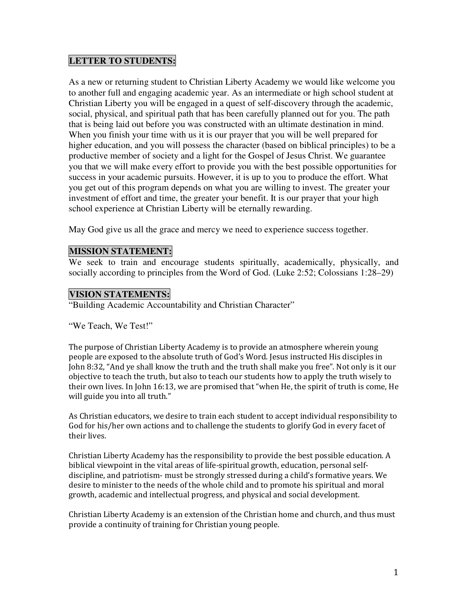#### **LETTER TO STUDENTS:**

As a new or returning student to Christian Liberty Academy we would like welcome you to another full and engaging academic year. As an intermediate or high school student at Christian Liberty you will be engaged in a quest of self-discovery through the academic, social, physical, and spiritual path that has been carefully planned out for you. The path that is being laid out before you was constructed with an ultimate destination in mind. When you finish your time with us it is our prayer that you will be well prepared for higher education, and you will possess the character (based on biblical principles) to be a productive member of society and a light for the Gospel of Jesus Christ. We guarantee you that we will make every effort to provide you with the best possible opportunities for success in your academic pursuits. However, it is up to you to produce the effort. What you get out of this program depends on what you are willing to invest. The greater your investment of effort and time, the greater your benefit. It is our prayer that your high school experience at Christian Liberty will be eternally rewarding.

May God give us all the grace and mercy we need to experience success together.

#### **MISSION STATEMENT:**

We seek to train and encourage students spiritually, academically, physically, and socially according to principles from the Word of God. (Luke 2:52; Colossians 1:28–29)

#### **VISION STATEMENTS:**

"Building Academic Accountability and Christian Character"

"We Teach, We Test!"

The purpose of Christian Liberty Academy is to provide an atmosphere wherein young people are exposed to the absolute truth of God's Word. Jesus instructed His disciples in John 8:32, "And ye shall know the truth and the truth shall make you free". Not only is it our objective to teach the truth, but also to teach our students how to apply the truth wisely to their own lives. In John 16:13, we are promised that "when He, the spirit of truth is come, He will guide you into all truth."

As Christian educators, we desire to train each student to accept individual responsibility to God for his/her own actions and to challenge the students to glorify God in every facet of their lives.

Christian Liberty Academy has the responsibility to provide the best possible education. A biblical viewpoint in the vital areas of life-spiritual growth, education, personal selfdiscipline, and patriotism- must be strongly stressed during a child's formative years. We desire to minister to the needs of the whole child and to promote his spiritual and moral growth, academic and intellectual progress, and physical and social development.

Christian Liberty Academy is an extension of the Christian home and church, and thus must provide a continuity of training for Christian young people.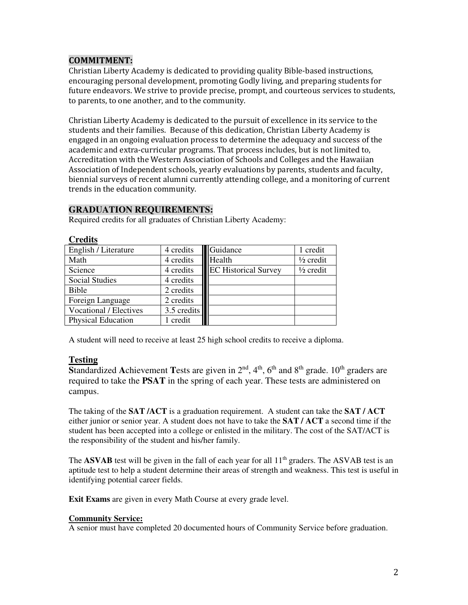#### COMMITMENT:

Christian Liberty Academy is dedicated to providing quality Bible-based instructions, encouraging personal development, promoting Godly living, and preparing students for future endeavors. We strive to provide precise, prompt, and courteous services to students, to parents, to one another, and to the community.

Christian Liberty Academy is dedicated to the pursuit of excellence in its service to the students and their families. Because of this dedication, Christian Liberty Academy is engaged in an ongoing evaluation process to determine the adequacy and success of the academic and extra-curricular programs. That process includes, but is not limited to, Accreditation with the Western Association of Schools and Colleges and the Hawaiian Association of Independent schools, yearly evaluations by parents, students and faculty, biennial surveys of recent alumni currently attending college, and a monitoring of current trends in the education community.

#### **GRADUATION REQUIREMENTS:**

Required credits for all graduates of Christian Liberty Academy:

| English / Literature          | 4 credits     | Guidance                    | 1 credit             |
|-------------------------------|---------------|-----------------------------|----------------------|
| Math                          | 4 credits     | Health                      | $\frac{1}{2}$ credit |
| Science                       | 4 credits     | <b>EC Historical Survey</b> | $\frac{1}{2}$ credit |
| <b>Social Studies</b>         | 4 credits     |                             |                      |
| <b>Bible</b>                  | 2 credits     |                             |                      |
| Foreign Language              | 2 credits     |                             |                      |
| <b>Vocational / Electives</b> | $3.5$ credits |                             |                      |
| <b>Physical Education</b>     | credit        |                             |                      |

**Credits**

A student will need to receive at least 25 high school credits to receive a diploma.

#### **Testing**

Standardized Achievement Tests are given in 2<sup>nd</sup>, 4<sup>th</sup>, 6<sup>th</sup> and 8<sup>th</sup> grade. 10<sup>th</sup> graders are required to take the **PSAT** in the spring of each year. These tests are administered on campus.

The taking of the **SAT /ACT** is a graduation requirement. A student can take the **SAT / ACT** either junior or senior year. A student does not have to take the **SAT / ACT** a second time if the student has been accepted into a college or enlisted in the military. The cost of the SAT/ACT is the responsibility of the student and his/her family.

The **ASVAB** test will be given in the fall of each year for all 11<sup>th</sup> graders. The ASVAB test is an aptitude test to help a student determine their areas of strength and weakness. This test is useful in identifying potential career fields.

**Exit Exams** are given in every Math Course at every grade level.

#### **Community Service:**

A senior must have completed 20 documented hours of Community Service before graduation.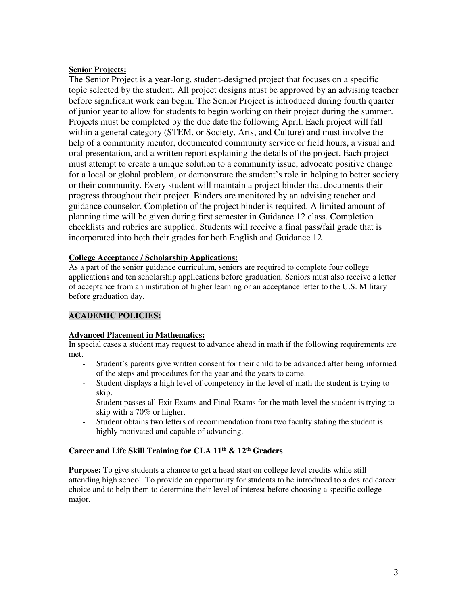#### **Senior Projects:**

The Senior Project is a year-long, student-designed project that focuses on a specific topic selected by the student. All project designs must be approved by an advising teacher before significant work can begin. The Senior Project is introduced during fourth quarter of junior year to allow for students to begin working on their project during the summer. Projects must be completed by the due date the following April. Each project will fall within a general category (STEM, or Society, Arts, and Culture) and must involve the help of a community mentor, documented community service or field hours, a visual and oral presentation, and a written report explaining the details of the project. Each project must attempt to create a unique solution to a community issue, advocate positive change for a local or global problem, or demonstrate the student's role in helping to better society or their community. Every student will maintain a project binder that documents their progress throughout their project. Binders are monitored by an advising teacher and guidance counselor. Completion of the project binder is required. A limited amount of planning time will be given during first semester in Guidance 12 class. Completion checklists and rubrics are supplied. Students will receive a final pass/fail grade that is incorporated into both their grades for both English and Guidance 12.

#### **College Acceptance / Scholarship Applications:**

As a part of the senior guidance curriculum, seniors are required to complete four college applications and ten scholarship applications before graduation. Seniors must also receive a letter of acceptance from an institution of higher learning or an acceptance letter to the U.S. Military before graduation day.

#### **ACADEMIC POLICIES:**

#### **Advanced Placement in Mathematics:**

In special cases a student may request to advance ahead in math if the following requirements are met.

- Student's parents give written consent for their child to be advanced after being informed of the steps and procedures for the year and the years to come.
- Student displays a high level of competency in the level of math the student is trying to skip.
- Student passes all Exit Exams and Final Exams for the math level the student is trying to skip with a 70% or higher.
- Student obtains two letters of recommendation from two faculty stating the student is highly motivated and capable of advancing.

#### **Career and Life Skill Training for CLA 11th & 12th Graders**

**Purpose:** To give students a chance to get a head start on college level credits while still attending high school. To provide an opportunity for students to be introduced to a desired career choice and to help them to determine their level of interest before choosing a specific college major.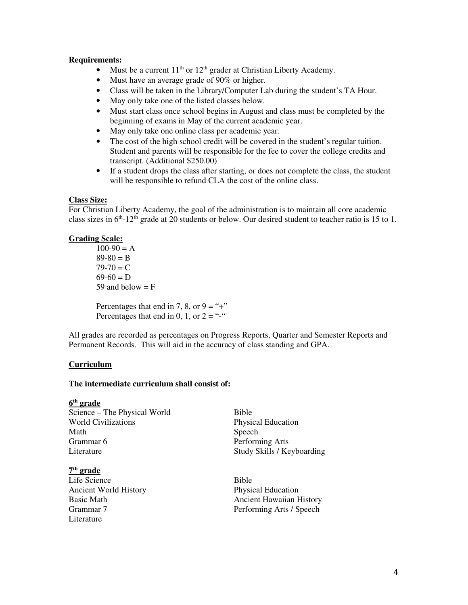#### **Requirements:**

- Must be a current  $11<sup>th</sup>$  or  $12<sup>th</sup>$  grader at Christian Liberty Academy.
- Must have an average grade of 90% or higher.
- Class will be taken in the Library/Computer Lab during the student's TA Hour.
- May only take one of the listed classes below.
- Must start class once school begins in August and class must be completed by the beginning of exams in May of the current academic year.
- May only take one online class per academic year.
- The cost of the high school credit will be covered in the student's regular tuition. Student and parents will be responsible for the fee to cover the college credits and transcript. (Additional \$250.00)
- If a student drops the class after starting, or does not complete the class, the student will be responsible to refund CLA the cost of the online class.

#### **Class Size:**

For Christian Liberty Academy, the goal of the administration is to maintain all core academic class sizes in  $6<sup>th</sup>$ -12<sup>th</sup> grade at 20 students or below. Our desired student to teacher ratio is 15 to 1.

#### **Grading Scale:**

 $100-90 = A$  $89-80 = B$  $79-70 = C$  $69-60 = D$ 59 and below  $=$  F

Percentages that end in 7, 8, or  $9 =$  "+" Percentages that end in 0, 1, or  $2 =$  "-"

All grades are recorded as percentages on Progress Reports, Quarter and Semester Reports and Permanent Records. This will aid in the accuracy of class standing and GPA.

#### **Curriculum**

#### **The intermediate curriculum shall consist of:**

**6 th grade**  Science – The Physical World Bible World Civilizations **Physical Education** Math Speech Grammar 6 Performing Arts

#### **7 th grade**

Life Science Bible Ancient World History Physical Education Literature

Literature Study Skills / Keyboarding

Basic Math Ancient Hawaiian History Performing Arts / Speech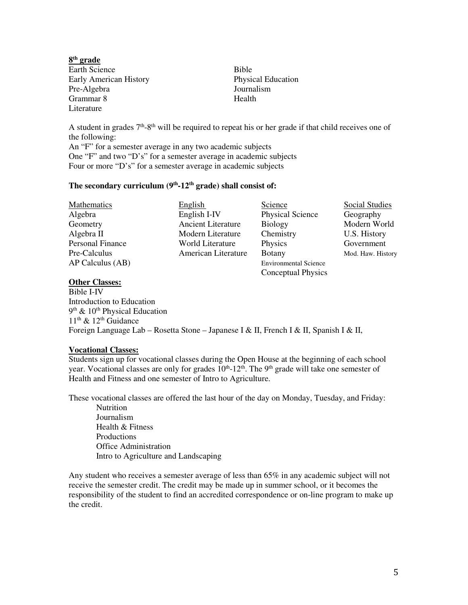**8 th grade**  Earth Science Bible Early American History Physical Education<br>Pre-Algebra 100 Journalism Pre-Algebra Grammar 8 Health Literature

A student in grades  $7<sup>th</sup>$ -8<sup>th</sup> will be required to repeat his or her grade if that child receives one of the following:

An "F" for a semester average in any two academic subjects One "F" and two "D's" for a semester average in academic subjects Four or more "D's" for a semester average in academic subjects

#### **The secondary curriculum (9th-12th grade) shall consist of:**

| Mathematics      | English                   | Science                      | Social Studies    |
|------------------|---------------------------|------------------------------|-------------------|
| Algebra          | English I-IV              | <b>Physical Science</b>      | Geography         |
| Geometry         | <b>Ancient Literature</b> | <b>Biology</b>               | Modern World      |
| Algebra II       | Modern Literature         | Chemistry                    | U.S. History      |
| Personal Finance | World Literature          | Physics                      | Government        |
| Pre-Calculus     | American Literature       | <b>Botany</b>                | Mod. Haw. History |
| AP Calculus (AB) |                           | <b>Environmental Science</b> |                   |
|                  |                           | <b>Conceptual Physics</b>    |                   |

#### **Other Classes:**

Bible I-IV Introduction to Education 9<sup>th</sup> & 10<sup>th</sup> Physical Education  $11<sup>th</sup>$  &  $12<sup>th</sup>$  Guidance Foreign Language Lab – Rosetta Stone – Japanese I & II, French I & II, Spanish I & II,

#### **Vocational Classes:**

Students sign up for vocational classes during the Open House at the beginning of each school year. Vocational classes are only for grades  $10<sup>th</sup>$ -12<sup>th</sup>. The 9<sup>th</sup> grade will take one semester of Health and Fitness and one semester of Intro to Agriculture.

These vocational classes are offered the last hour of the day on Monday, Tuesday, and Friday:

Nutrition Journalism Health & Fitness Productions Office Administration Intro to Agriculture and Landscaping

Any student who receives a semester average of less than 65% in any academic subject will not receive the semester credit. The credit may be made up in summer school, or it becomes the responsibility of the student to find an accredited correspondence or on-line program to make up the credit.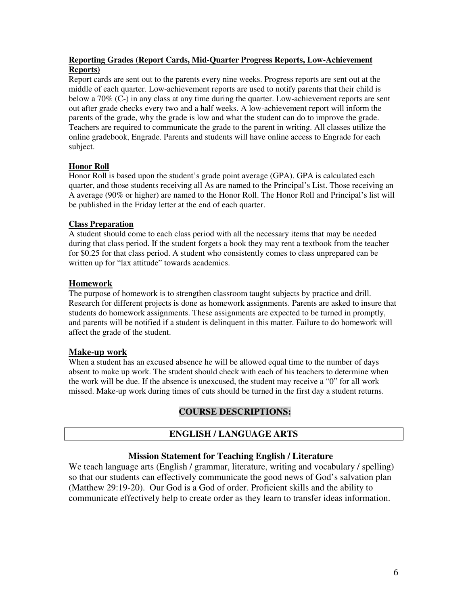#### **Reporting Grades (Report Cards, Mid-Quarter Progress Reports, Low-Achievement Reports)**

Report cards are sent out to the parents every nine weeks. Progress reports are sent out at the middle of each quarter. Low-achievement reports are used to notify parents that their child is below a 70% (C-) in any class at any time during the quarter. Low-achievement reports are sent out after grade checks every two and a half weeks. A low-achievement report will inform the parents of the grade, why the grade is low and what the student can do to improve the grade. Teachers are required to communicate the grade to the parent in writing. All classes utilize the online gradebook, Engrade. Parents and students will have online access to Engrade for each subject.

#### **Honor Roll**

Honor Roll is based upon the student's grade point average (GPA). GPA is calculated each quarter, and those students receiving all As are named to the Principal's List. Those receiving an A average (90% or higher) are named to the Honor Roll. The Honor Roll and Principal's list will be published in the Friday letter at the end of each quarter.

#### **Class Preparation**

A student should come to each class period with all the necessary items that may be needed during that class period. If the student forgets a book they may rent a textbook from the teacher for \$0.25 for that class period. A student who consistently comes to class unprepared can be written up for "lax attitude" towards academics.

#### **Homework**

The purpose of homework is to strengthen classroom taught subjects by practice and drill. Research for different projects is done as homework assignments. Parents are asked to insure that students do homework assignments. These assignments are expected to be turned in promptly, and parents will be notified if a student is delinquent in this matter. Failure to do homework will affect the grade of the student.

#### **Make-up work**

When a student has an excused absence he will be allowed equal time to the number of days absent to make up work. The student should check with each of his teachers to determine when the work will be due. If the absence is unexcused, the student may receive a "0" for all work missed. Make-up work during times of cuts should be turned in the first day a student returns.

#### **COURSE DESCRIPTIONS:**

#### **ENGLISH / LANGUAGE ARTS**

#### **Mission Statement for Teaching English / Literature**

We teach language arts (English / grammar, literature, writing and vocabulary / spelling) so that our students can effectively communicate the good news of God's salvation plan (Matthew 29:19-20). Our God is a God of order. Proficient skills and the ability to communicate effectively help to create order as they learn to transfer ideas information.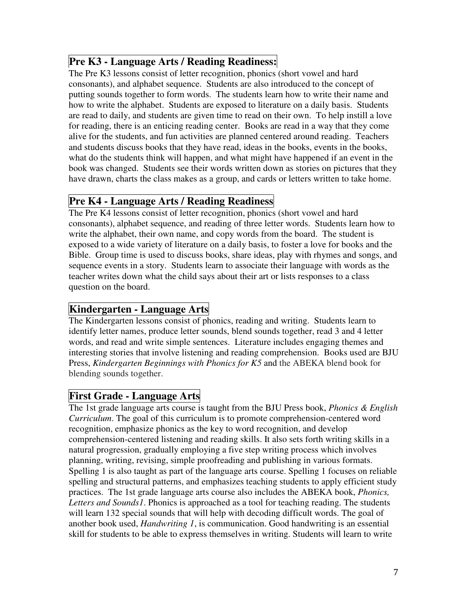# **Pre K3 - Language Arts / Reading Readiness:**

The Pre K3 lessons consist of letter recognition, phonics (short vowel and hard consonants), and alphabet sequence. Students are also introduced to the concept of putting sounds together to form words. The students learn how to write their name and how to write the alphabet. Students are exposed to literature on a daily basis. Students are read to daily, and students are given time to read on their own. To help instill a love for reading, there is an enticing reading center. Books are read in a way that they come alive for the students, and fun activities are planned centered around reading. Teachers and students discuss books that they have read, ideas in the books, events in the books, what do the students think will happen, and what might have happened if an event in the book was changed. Students see their words written down as stories on pictures that they have drawn, charts the class makes as a group, and cards or letters written to take home.

# **Pre K4 - Language Arts / Reading Readiness**

The Pre K4 lessons consist of letter recognition, phonics (short vowel and hard consonants), alphabet sequence, and reading of three letter words. Students learn how to write the alphabet, their own name, and copy words from the board. The student is exposed to a wide variety of literature on a daily basis, to foster a love for books and the Bible. Group time is used to discuss books, share ideas, play with rhymes and songs, and sequence events in a story. Students learn to associate their language with words as the teacher writes down what the child says about their art or lists responses to a class question on the board.

## **Kindergarten - Language Arts**

The Kindergarten lessons consist of phonics, reading and writing. Students learn to identify letter names, produce letter sounds, blend sounds together, read 3 and 4 letter words, and read and write simple sentences. Literature includes engaging themes and interesting stories that involve listening and reading comprehension. Books used are BJU Press, *Kindergarten Beginnings with Phonics for K5* and the ABEKA blend book for blending sounds together.

## **First Grade - Language Arts**

The 1st grade language arts course is taught from the BJU Press book, *Phonics & English Curriculum*. The goal of this curriculum is to promote comprehension-centered word recognition, emphasize phonics as the key to word recognition, and develop comprehension-centered listening and reading skills. It also sets forth writing skills in a natural progression, gradually employing a five step writing process which involves planning, writing, revising, simple proofreading and publishing in various formats. Spelling 1 is also taught as part of the language arts course. Spelling 1 focuses on reliable spelling and structural patterns, and emphasizes teaching students to apply efficient study practices. The 1st grade language arts course also includes the ABEKA book, *Phonics, Letters and Sounds1*. Phonics is approached as a tool for teaching reading. The students will learn 132 special sounds that will help with decoding difficult words. The goal of another book used, *Handwriting 1*, is communication. Good handwriting is an essential skill for students to be able to express themselves in writing. Students will learn to write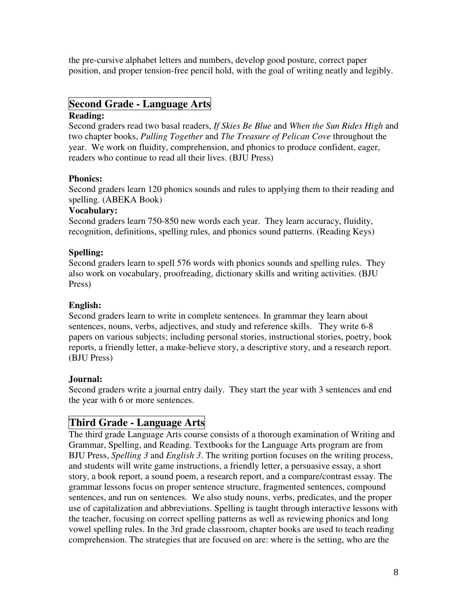the pre-cursive alphabet letters and numbers, develop good posture, correct paper position, and proper tension-free pencil hold, with the goal of writing neatly and legibly.

# **Second Grade - Language Arts**

#### **Reading:**

Second graders read two basal readers, *If Skies Be Blue* and *When the Sun Rides High* and two chapter books, *Pulling Together* and *The Treasure of Pelican Cove* throughout the year. We work on fluidity, comprehension, and phonics to produce confident, eager, readers who continue to read all their lives. (BJU Press)

#### **Phonics:**

Second graders learn 120 phonics sounds and rules to applying them to their reading and spelling. (ABEKA Book)

#### **Vocabulary:**

Second graders learn 750-850 new words each year. They learn accuracy, fluidity, recognition, definitions, spelling rules, and phonics sound patterns. (Reading Keys)

#### **Spelling:**

Second graders learn to spell 576 words with phonics sounds and spelling rules. They also work on vocabulary, proofreading, dictionary skills and writing activities. (BJU Press)

#### **English:**

Second graders learn to write in complete sentences. In grammar they learn about sentences, nouns, verbs, adjectives, and study and reference skills. They write 6-8 papers on various subjects; including personal stories, instructional stories, poetry, book reports, a friendly letter, a make-believe story, a descriptive story, and a research report. (BJU Press)

#### **Journal:**

Second graders write a journal entry daily. They start the year with 3 sentences and end the year with 6 or more sentences.

## **Third Grade - Language Arts**

The third grade Language Arts course consists of a thorough examination of Writing and Grammar, Spelling, and Reading. Textbooks for the Language Arts program are from BJU Press, *Spelling 3* and *English 3*. The writing portion focuses on the writing process, and students will write game instructions, a friendly letter, a persuasive essay, a short story, a book report, a sound poem, a research report, and a compare/contrast essay. The grammar lessons focus on proper sentence structure, fragmented sentences, compound sentences, and run on sentences. We also study nouns, verbs, predicates, and the proper use of capitalization and abbreviations. Spelling is taught through interactive lessons with the teacher, focusing on correct spelling patterns as well as reviewing phonics and long vowel spelling rules. In the 3rd grade classroom, chapter books are used to teach reading comprehension. The strategies that are focused on are: where is the setting, who are the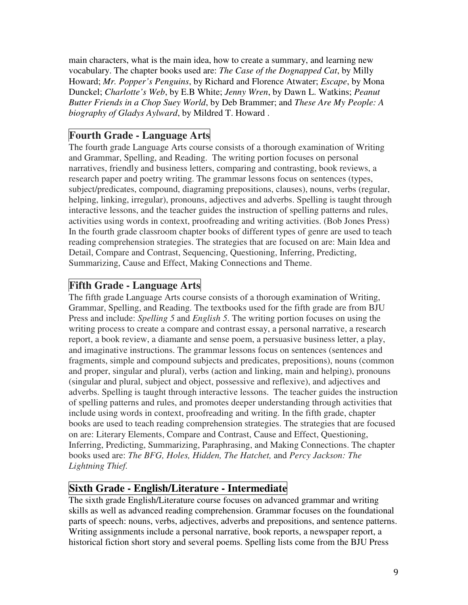main characters, what is the main idea, how to create a summary, and learning new vocabulary. The chapter books used are: *The Case of the Dognapped Cat*, by Milly Howard; *Mr. Popper's Penguins*, by Richard and Florence Atwater; *Escape*, by Mona Dunckel; *Charlotte's Web*, by E.B White; *Jenny Wren*, by Dawn L. Watkins; *Peanut Butter Friends in a Chop Suey World*, by Deb Brammer; and *These Are My People: A biography of Gladys Aylward*, by Mildred T. Howard .

## **Fourth Grade - Language Arts**

The fourth grade Language Arts course consists of a thorough examination of Writing and Grammar, Spelling, and Reading. The writing portion focuses on personal narratives, friendly and business letters, comparing and contrasting, book reviews, a research paper and poetry writing. The grammar lessons focus on sentences (types, subject/predicates, compound, diagraming prepositions, clauses), nouns, verbs (regular, helping, linking, irregular), pronouns, adjectives and adverbs. Spelling is taught through interactive lessons, and the teacher guides the instruction of spelling patterns and rules, activities using words in context, proofreading and writing activities. (Bob Jones Press) In the fourth grade classroom chapter books of different types of genre are used to teach reading comprehension strategies. The strategies that are focused on are: Main Idea and Detail, Compare and Contrast, Sequencing, Questioning, Inferring, Predicting, Summarizing, Cause and Effect, Making Connections and Theme.

### **Fifth Grade - Language Arts**

The fifth grade Language Arts course consists of a thorough examination of Writing, Grammar, Spelling, and Reading. The textbooks used for the fifth grade are from BJU Press and include: *Spelling 5* and *English 5*. The writing portion focuses on using the writing process to create a compare and contrast essay, a personal narrative, a research report, a book review, a diamante and sense poem, a persuasive business letter, a play, and imaginative instructions. The grammar lessons focus on sentences (sentences and fragments, simple and compound subjects and predicates, prepositions), nouns (common and proper, singular and plural), verbs (action and linking, main and helping), pronouns (singular and plural, subject and object, possessive and reflexive), and adjectives and adverbs. Spelling is taught through interactive lessons. The teacher guides the instruction of spelling patterns and rules, and promotes deeper understanding through activities that include using words in context, proofreading and writing. In the fifth grade, chapter books are used to teach reading comprehension strategies. The strategies that are focused on are: Literary Elements, Compare and Contrast, Cause and Effect, Questioning, Inferring, Predicting, Summarizing, Paraphrasing, and Making Connections. The chapter books used are: *The BFG, Holes, Hidden, The Hatchet,* and *Percy Jackson: The Lightning Thief.*

## **Sixth Grade - English/Literature - Intermediate**

The sixth grade English/Literature course focuses on advanced grammar and writing skills as well as advanced reading comprehension. Grammar focuses on the foundational parts of speech: nouns, verbs, adjectives, adverbs and prepositions, and sentence patterns. Writing assignments include a personal narrative, book reports, a newspaper report, a historical fiction short story and several poems. Spelling lists come from the BJU Press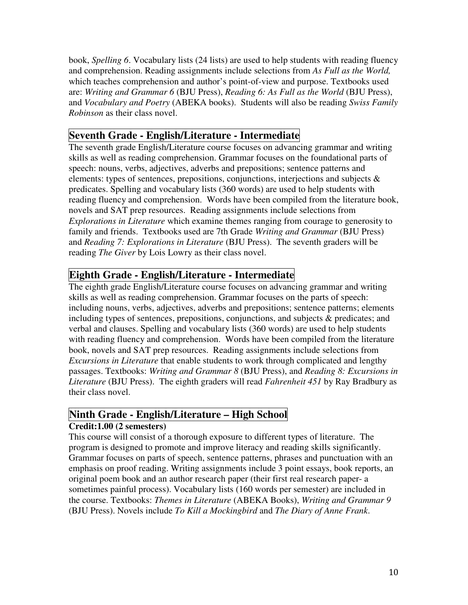book, *Spelling 6*. Vocabulary lists (24 lists) are used to help students with reading fluency and comprehension. Reading assignments include selections from *As Full as the World,*  which teaches comprehension and author's point-of-view and purpose. Textbooks used are: *Writing and Grammar 6* (BJU Press), *Reading 6: As Full as the World* (BJU Press), and *Vocabulary and Poetry* (ABEKA books). Students will also be reading *Swiss Family Robinson* as their class novel.

## **Seventh Grade - English/Literature - Intermediate**

The seventh grade English/Literature course focuses on advancing grammar and writing skills as well as reading comprehension. Grammar focuses on the foundational parts of speech: nouns, verbs, adjectives, adverbs and prepositions; sentence patterns and elements: types of sentences, prepositions, conjunctions, interjections and subjects & predicates. Spelling and vocabulary lists (360 words) are used to help students with reading fluency and comprehension. Words have been compiled from the literature book, novels and SAT prep resources. Reading assignments include selections from *Explorations in Literature* which examine themes ranging from courage to generosity to family and friends. Textbooks used are 7th Grade *Writing and Grammar* (BJU Press) and *Reading 7: Explorations in Literature* (BJU Press). The seventh graders will be reading *The Giver* by Lois Lowry as their class novel.

### **Eighth Grade - English/Literature - Intermediate**

The eighth grade English/Literature course focuses on advancing grammar and writing skills as well as reading comprehension. Grammar focuses on the parts of speech: including nouns, verbs, adjectives, adverbs and prepositions; sentence patterns; elements including types of sentences, prepositions, conjunctions, and subjects & predicates; and verbal and clauses. Spelling and vocabulary lists (360 words) are used to help students with reading fluency and comprehension. Words have been compiled from the literature book, novels and SAT prep resources. Reading assignments include selections from *Excursions in Literature* that enable students to work through complicated and lengthy passages. Textbooks: *Writing and Grammar 8* (BJU Press), and *Reading 8: Excursions in Literature* (BJU Press). The eighth graders will read *Fahrenheit 451* by Ray Bradbury as their class novel.

#### **Ninth Grade - English/Literature – High School Credit:1.00 (2 semesters)**

This course will consist of a thorough exposure to different types of literature. The program is designed to promote and improve literacy and reading skills significantly. Grammar focuses on parts of speech, sentence patterns, phrases and punctuation with an emphasis on proof reading. Writing assignments include 3 point essays, book reports, an original poem book and an author research paper (their first real research paper- a sometimes painful process). Vocabulary lists (160 words per semester) are included in the course. Textbooks: *Themes in Literature* (ABEKA Books), *Writing and Grammar 9* (BJU Press). Novels include *To Kill a Mockingbird* and *The Diary of Anne Frank*.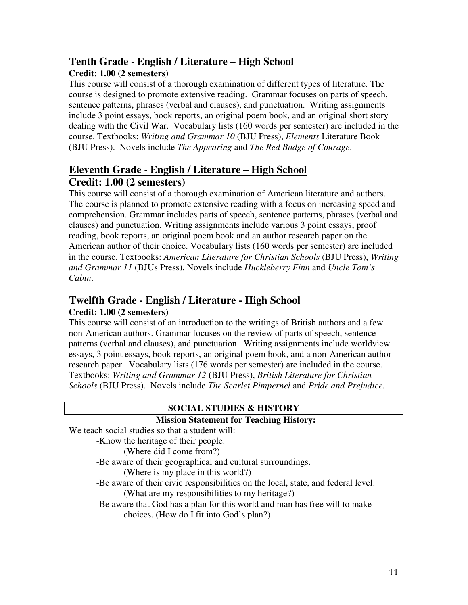## **Tenth Grade - English / Literature – High School**

#### **Credit: 1.00 (2 semesters)**

This course will consist of a thorough examination of different types of literature. The course is designed to promote extensive reading. Grammar focuses on parts of speech, sentence patterns, phrases (verbal and clauses), and punctuation. Writing assignments include 3 point essays, book reports, an original poem book, and an original short story dealing with the Civil War. Vocabulary lists (160 words per semester) are included in the course. Textbooks: *Writing and Grammar 10* (BJU Press), *Elements* Literature Book (BJU Press). Novels include *The Appearing* and *The Red Badge of Courage*.

# **Eleventh Grade - English / Literature – High School Credit: 1.00 (2 semesters)**

This course will consist of a thorough examination of American literature and authors. The course is planned to promote extensive reading with a focus on increasing speed and comprehension. Grammar includes parts of speech, sentence patterns, phrases (verbal and clauses) and punctuation. Writing assignments include various 3 point essays, proof reading, book reports, an original poem book and an author research paper on the American author of their choice. Vocabulary lists (160 words per semester) are included in the course. Textbooks: *American Literature for Christian Schools* (BJU Press), *Writing and Grammar 11* (BJUs Press). Novels include *Huckleberry Finn* and *Uncle Tom's Cabin*.

## **Twelfth Grade - English / Literature - High School**

#### **Credit: 1.00 (2 semesters)**

This course will consist of an introduction to the writings of British authors and a few non-American authors. Grammar focuses on the review of parts of speech, sentence patterns (verbal and clauses), and punctuation. Writing assignments include worldview essays, 3 point essays, book reports, an original poem book, and a non-American author research paper. Vocabulary lists (176 words per semester) are included in the course. Textbooks: *Writing and Grammar 12* (BJU Press), *British Literature for Christian Schools* (BJU Press). Novels include *The Scarlet Pimpernel* and *Pride and Prejudice.* 

#### **SOCIAL STUDIES & HISTORY**

#### **Mission Statement for Teaching History:**

We teach social studies so that a student will:

-Know the heritage of their people.

(Where did I come from?)

-Be aware of their geographical and cultural surroundings.

(Where is my place in this world?)

-Be aware of their civic responsibilities on the local, state, and federal level.

(What are my responsibilities to my heritage?)

-Be aware that God has a plan for this world and man has free will to make choices. (How do I fit into God's plan?)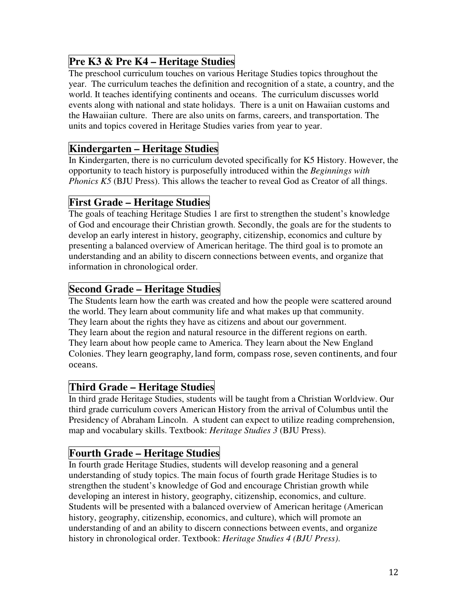# **Pre K3 & Pre K4 – Heritage Studies**

The preschool curriculum touches on various Heritage Studies topics throughout the year. The curriculum teaches the definition and recognition of a state, a country, and the world. It teaches identifying continents and oceans. The curriculum discusses world events along with national and state holidays. There is a unit on Hawaiian customs and the Hawaiian culture. There are also units on farms, careers, and transportation. The units and topics covered in Heritage Studies varies from year to year.

# **Kindergarten – Heritage Studies**

In Kindergarten, there is no curriculum devoted specifically for K5 History. However, the opportunity to teach history is purposefully introduced within the *Beginnings with Phonics K5* (BJU Press). This allows the teacher to reveal God as Creator of all things.

## **First Grade – Heritage Studies**

The goals of teaching Heritage Studies 1 are first to strengthen the student's knowledge of God and encourage their Christian growth. Secondly, the goals are for the students to develop an early interest in history, geography, citizenship, economics and culture by presenting a balanced overview of American heritage. The third goal is to promote an understanding and an ability to discern connections between events, and organize that information in chronological order.

## **Second Grade – Heritage Studies**

The Students learn how the earth was created and how the people were scattered around the world. They learn about community life and what makes up that community. They learn about the rights they have as citizens and about our government. They learn about the region and natural resource in the different regions on earth. They learn about how people came to America. They learn about the New England Colonies. They learn geography, land form, compass rose, seven continents, and four oceans.

## **Third Grade – Heritage Studies**

In third grade Heritage Studies, students will be taught from a Christian Worldview. Our third grade curriculum covers American History from the arrival of Columbus until the Presidency of Abraham Lincoln. A student can expect to utilize reading comprehension, map and vocabulary skills. Textbook: *Heritage Studies 3* (BJU Press).

## **Fourth Grade – Heritage Studies**

In fourth grade Heritage Studies, students will develop reasoning and a general understanding of study topics. The main focus of fourth grade Heritage Studies is to strengthen the student's knowledge of God and encourage Christian growth while developing an interest in history, geography, citizenship, economics, and culture. Students will be presented with a balanced overview of American heritage (American history, geography, citizenship, economics, and culture), which will promote an understanding of and an ability to discern connections between events, and organize history in chronological order. Textbook: *Heritage Studies 4 (BJU Press)*.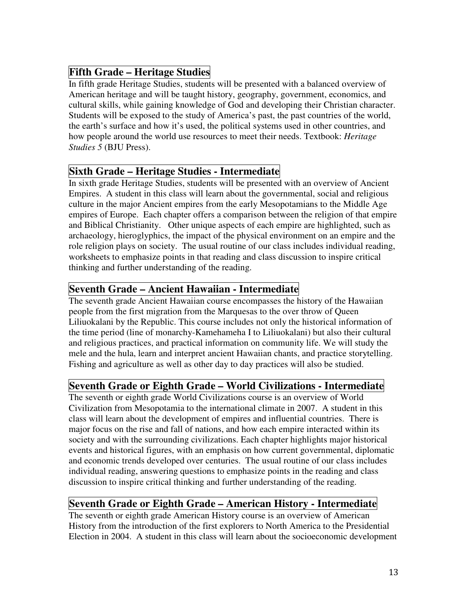# **Fifth Grade – Heritage Studies**

In fifth grade Heritage Studies, students will be presented with a balanced overview of American heritage and will be taught history, geography, government, economics, and cultural skills, while gaining knowledge of God and developing their Christian character. Students will be exposed to the study of America's past, the past countries of the world, the earth's surface and how it's used, the political systems used in other countries, and how people around the world use resources to meet their needs. Textbook: *Heritage Studies 5* (BJU Press).

### **Sixth Grade – Heritage Studies - Intermediate**

In sixth grade Heritage Studies, students will be presented with an overview of Ancient Empires. A student in this class will learn about the governmental, social and religious culture in the major Ancient empires from the early Mesopotamians to the Middle Age empires of Europe. Each chapter offers a comparison between the religion of that empire and Biblical Christianity. Other unique aspects of each empire are highlighted, such as archaeology, hieroglyphics, the impact of the physical environment on an empire and the role religion plays on society. The usual routine of our class includes individual reading, worksheets to emphasize points in that reading and class discussion to inspire critical thinking and further understanding of the reading.

### **Seventh Grade – Ancient Hawaiian - Intermediate**

The seventh grade Ancient Hawaiian course encompasses the history of the Hawaiian people from the first migration from the Marquesas to the over throw of Queen Liliuokalani by the Republic. This course includes not only the historical information of the time period (line of monarchy-Kamehameha I to Liliuokalani) but also their cultural and religious practices, and practical information on community life. We will study the mele and the hula, learn and interpret ancient Hawaiian chants, and practice storytelling. Fishing and agriculture as well as other day to day practices will also be studied.

## **Seventh Grade or Eighth Grade – World Civilizations - Intermediate**

The seventh or eighth grade World Civilizations course is an overview of World Civilization from Mesopotamia to the international climate in 2007. A student in this class will learn about the development of empires and influential countries. There is major focus on the rise and fall of nations, and how each empire interacted within its society and with the surrounding civilizations. Each chapter highlights major historical events and historical figures, with an emphasis on how current governmental, diplomatic and economic trends developed over centuries. The usual routine of our class includes individual reading, answering questions to emphasize points in the reading and class discussion to inspire critical thinking and further understanding of the reading.

## **Seventh Grade or Eighth Grade – American History - Intermediate**

The seventh or eighth grade American History course is an overview of American History from the introduction of the first explorers to North America to the Presidential Election in 2004. A student in this class will learn about the socioeconomic development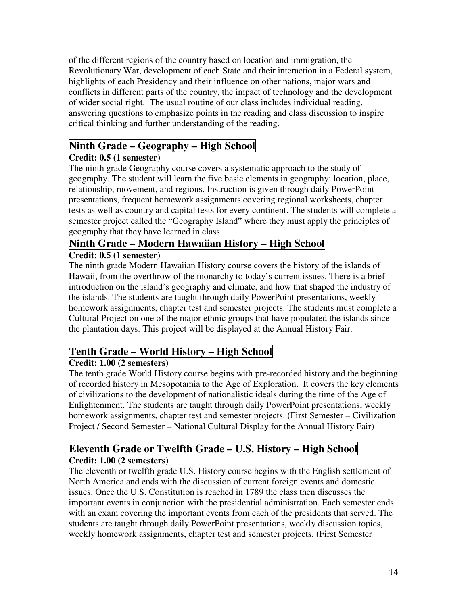of the different regions of the country based on location and immigration, the Revolutionary War, development of each State and their interaction in a Federal system, highlights of each Presidency and their influence on other nations, major wars and conflicts in different parts of the country, the impact of technology and the development of wider social right. The usual routine of our class includes individual reading, answering questions to emphasize points in the reading and class discussion to inspire critical thinking and further understanding of the reading.

# **Ninth Grade – Geography – High School**

#### **Credit: 0.5 (1 semester)**

The ninth grade Geography course covers a systematic approach to the study of geography. The student will learn the five basic elements in geography: location, place, relationship, movement, and regions. Instruction is given through daily PowerPoint presentations, frequent homework assignments covering regional worksheets, chapter tests as well as country and capital tests for every continent. The students will complete a semester project called the "Geography Island" where they must apply the principles of geography that they have learned in class.

# **Ninth Grade – Modern Hawaiian History – High School**

#### **Credit: 0.5 (1 semester)**

The ninth grade Modern Hawaiian History course covers the history of the islands of Hawaii, from the overthrow of the monarchy to today's current issues. There is a brief introduction on the island's geography and climate, and how that shaped the industry of the islands. The students are taught through daily PowerPoint presentations, weekly homework assignments, chapter test and semester projects. The students must complete a Cultural Project on one of the major ethnic groups that have populated the islands since the plantation days. This project will be displayed at the Annual History Fair.

# **Tenth Grade – World History – High School**

### **Credit: 1.00 (2 semesters)**

The tenth grade World History course begins with pre-recorded history and the beginning of recorded history in Mesopotamia to the Age of Exploration. It covers the key elements of civilizations to the development of nationalistic ideals during the time of the Age of Enlightenment. The students are taught through daily PowerPoint presentations, weekly homework assignments, chapter test and semester projects. (First Semester – Civilization Project / Second Semester – National Cultural Display for the Annual History Fair)

# **Eleventh Grade or Twelfth Grade – U.S. History – High School**

### **Credit: 1.00 (2 semesters)**

The eleventh or twelfth grade U.S. History course begins with the English settlement of North America and ends with the discussion of current foreign events and domestic issues. Once the U.S. Constitution is reached in 1789 the class then discusses the important events in conjunction with the presidential administration. Each semester ends with an exam covering the important events from each of the presidents that served. The students are taught through daily PowerPoint presentations, weekly discussion topics, weekly homework assignments, chapter test and semester projects. (First Semester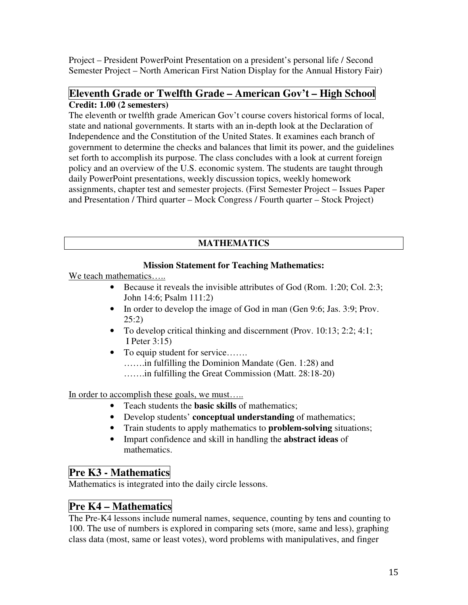Project – President PowerPoint Presentation on a president's personal life / Second Semester Project – North American First Nation Display for the Annual History Fair)

#### **Eleventh Grade or Twelfth Grade – American Gov't – High School Credit: 1.00 (2 semesters)**

The eleventh or twelfth grade American Gov't course covers historical forms of local, state and national governments. It starts with an in-depth look at the Declaration of Independence and the Constitution of the United States. It examines each branch of government to determine the checks and balances that limit its power, and the guidelines set forth to accomplish its purpose. The class concludes with a look at current foreign policy and an overview of the U.S. economic system. The students are taught through daily PowerPoint presentations, weekly discussion topics, weekly homework assignments, chapter test and semester projects. (First Semester Project – Issues Paper and Presentation / Third quarter – Mock Congress / Fourth quarter – Stock Project)

### **MATHEMATICS**

#### **Mission Statement for Teaching Mathematics:**

We teach mathematics.....

- Because it reveals the invisible attributes of God (Rom. 1:20; Col. 2:3; John 14:6; Psalm 111:2)
- In order to develop the image of God in man (Gen 9:6; Jas. 3:9; Prov. 25:2)
- To develop critical thinking and discernment (Prov. 10:13; 2:2; 4:1; I Peter 3:15)
- To equip student for service……. …….in fulfilling the Dominion Mandate (Gen. 1:28) and …….in fulfilling the Great Commission (Matt. 28:18-20)

In order to accomplish these goals, we must…..

- Teach students the **basic skills** of mathematics;
- Develop students' **conceptual understanding** of mathematics;
- Train students to apply mathematics to **problem-solving** situations;
- Impart confidence and skill in handling the **abstract ideas** of mathematics.

## **Pre K3 - Mathematics**

Mathematics is integrated into the daily circle lessons.

# **Pre K4 – Mathematics**

The Pre-K4 lessons include numeral names, sequence, counting by tens and counting to 100. The use of numbers is explored in comparing sets (more, same and less), graphing class data (most, same or least votes), word problems with manipulatives, and finger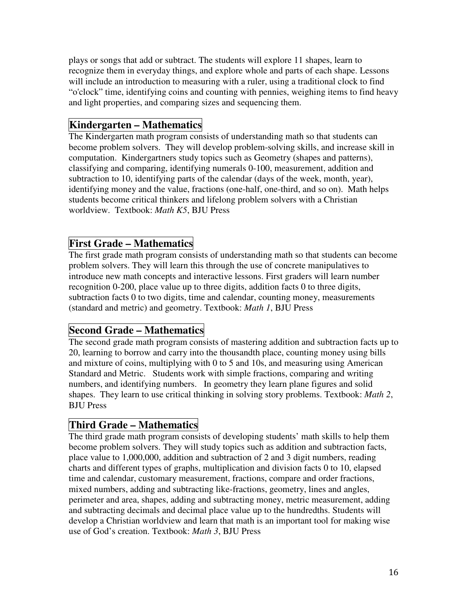plays or songs that add or subtract. The students will explore 11 shapes, learn to recognize them in everyday things, and explore whole and parts of each shape. Lessons will include an introduction to measuring with a ruler, using a traditional clock to find "o'clock" time, identifying coins and counting with pennies, weighing items to find heavy and light properties, and comparing sizes and sequencing them.

### **Kindergarten – Mathematics**

The Kindergarten math program consists of understanding math so that students can become problem solvers. They will develop problem-solving skills, and increase skill in computation. Kindergartners study topics such as Geometry (shapes and patterns), classifying and comparing, identifying numerals 0-100, measurement, addition and subtraction to 10, identifying parts of the calendar (days of the week, month, year), identifying money and the value, fractions (one-half, one-third, and so on). Math helps students become critical thinkers and lifelong problem solvers with a Christian worldview. Textbook: *Math K5*, BJU Press

## **First Grade – Mathematics**

The first grade math program consists of understanding math so that students can become problem solvers. They will learn this through the use of concrete manipulatives to introduce new math concepts and interactive lessons. First graders will learn number recognition 0-200, place value up to three digits, addition facts 0 to three digits, subtraction facts 0 to two digits, time and calendar, counting money, measurements (standard and metric) and geometry. Textbook: *Math 1*, BJU Press

## **Second Grade – Mathematics**

The second grade math program consists of mastering addition and subtraction facts up to 20, learning to borrow and carry into the thousandth place, counting money using bills and mixture of coins, multiplying with 0 to 5 and 10s, and measuring using American Standard and Metric. Students work with simple fractions, comparing and writing numbers, and identifying numbers. In geometry they learn plane figures and solid shapes. They learn to use critical thinking in solving story problems. Textbook: *Math 2*, BJU Press

## **Third Grade – Mathematics**

The third grade math program consists of developing students' math skills to help them become problem solvers. They will study topics such as addition and subtraction facts, place value to 1,000,000, addition and subtraction of 2 and 3 digit numbers, reading charts and different types of graphs, multiplication and division facts 0 to 10, elapsed time and calendar, customary measurement, fractions, compare and order fractions, mixed numbers, adding and subtracting like-fractions, geometry, lines and angles, perimeter and area, shapes, adding and subtracting money, metric measurement, adding and subtracting decimals and decimal place value up to the hundredths. Students will develop a Christian worldview and learn that math is an important tool for making wise use of God's creation. Textbook: *Math 3*, BJU Press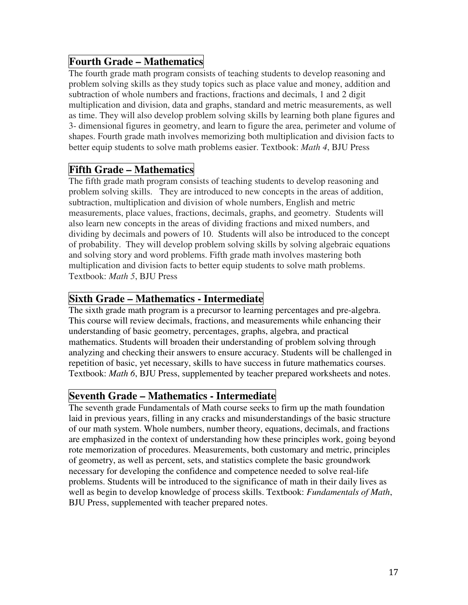# **Fourth Grade – Mathematics**

The fourth grade math program consists of teaching students to develop reasoning and problem solving skills as they study topics such as place value and money, addition and subtraction of whole numbers and fractions, fractions and decimals, 1 and 2 digit multiplication and division, data and graphs, standard and metric measurements, as well as time. They will also develop problem solving skills by learning both plane figures and 3- dimensional figures in geometry, and learn to figure the area, perimeter and volume of shapes. Fourth grade math involves memorizing both multiplication and division facts to better equip students to solve math problems easier. Textbook: *Math 4*, BJU Press

## **Fifth Grade – Mathematics**

The fifth grade math program consists of teaching students to develop reasoning and problem solving skills. They are introduced to new concepts in the areas of addition, subtraction, multiplication and division of whole numbers, English and metric measurements, place values, fractions, decimals, graphs, and geometry. Students will also learn new concepts in the areas of dividing fractions and mixed numbers, and dividing by decimals and powers of 10. Students will also be introduced to the concept of probability. They will develop problem solving skills by solving algebraic equations and solving story and word problems. Fifth grade math involves mastering both multiplication and division facts to better equip students to solve math problems. Textbook: *Math 5*, BJU Press

### **Sixth Grade – Mathematics - Intermediate**

The sixth grade math program is a precursor to learning percentages and pre-algebra. This course will review decimals, fractions, and measurements while enhancing their understanding of basic geometry, percentages, graphs, algebra, and practical mathematics. Students will broaden their understanding of problem solving through analyzing and checking their answers to ensure accuracy. Students will be challenged in repetition of basic, yet necessary, skills to have success in future mathematics courses. Textbook: *Math 6*, BJU Press, supplemented by teacher prepared worksheets and notes.

### **Seventh Grade – Mathematics - Intermediate**

The seventh grade Fundamentals of Math course seeks to firm up the math foundation laid in previous years, filling in any cracks and misunderstandings of the basic structure of our math system. Whole numbers, number theory, equations, decimals, and fractions are emphasized in the context of understanding how these principles work, going beyond rote memorization of procedures. Measurements, both customary and metric, principles of geometry, as well as percent, sets, and statistics complete the basic groundwork necessary for developing the confidence and competence needed to solve real-life problems. Students will be introduced to the significance of math in their daily lives as well as begin to develop knowledge of process skills. Textbook: *Fundamentals of Math*, BJU Press, supplemented with teacher prepared notes.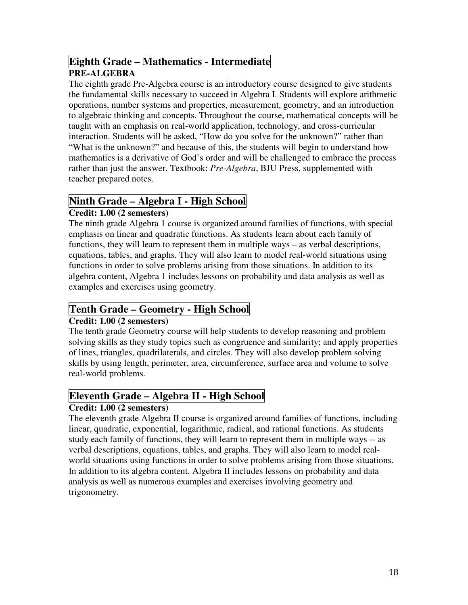## **Eighth Grade – Mathematics - Intermediate PRE-ALGEBRA**

The eighth grade Pre-Algebra course is an introductory course designed to give students the fundamental skills necessary to succeed in Algebra I. Students will explore arithmetic operations, number systems and properties, measurement, geometry, and an introduction to algebraic thinking and concepts. Throughout the course, mathematical concepts will be taught with an emphasis on real-world application, technology, and cross-curricular interaction. Students will be asked, "How do you solve for the unknown?" rather than "What is the unknown?" and because of this, the students will begin to understand how mathematics is a derivative of God's order and will be challenged to embrace the process rather than just the answer. Textbook: *Pre-Algebra*, BJU Press, supplemented with teacher prepared notes.

# **Ninth Grade – Algebra I - High School**

#### **Credit: 1.00 (2 semesters)**

The ninth grade Algebra 1 course is organized around families of functions, with special emphasis on linear and quadratic functions. As students learn about each family of functions, they will learn to represent them in multiple ways – as verbal descriptions, equations, tables, and graphs. They will also learn to model real-world situations using functions in order to solve problems arising from those situations. In addition to its algebra content, Algebra 1 includes lessons on probability and data analysis as well as examples and exercises using geometry.

## **Tenth Grade – Geometry - High School**

### **Credit: 1.00 (2 semesters)**

The tenth grade Geometry course will help students to develop reasoning and problem solving skills as they study topics such as congruence and similarity; and apply properties of lines, triangles, quadrilaterals, and circles. They will also develop problem solving skills by using length, perimeter, area, circumference, surface area and volume to solve real-world problems.

# **Eleventh Grade – Algebra II - High School**

#### **Credit: 1.00 (2 semesters)**

The eleventh grade Algebra II course is organized around families of functions, including linear, quadratic, exponential, logarithmic, radical, and rational functions. As students study each family of functions, they will learn to represent them in multiple ways -- as verbal descriptions, equations, tables, and graphs. They will also learn to model realworld situations using functions in order to solve problems arising from those situations. In addition to its algebra content, Algebra II includes lessons on probability and data analysis as well as numerous examples and exercises involving geometry and trigonometry.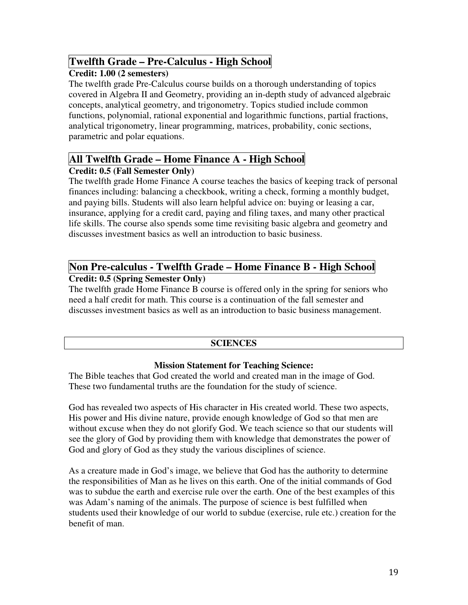## **Twelfth Grade – Pre-Calculus - High School**

#### **Credit: 1.00 (2 semesters)**

The twelfth grade Pre-Calculus course builds on a thorough understanding of topics covered in Algebra II and Geometry, providing an in-depth study of advanced algebraic concepts, analytical geometry, and trigonometry. Topics studied include common functions, polynomial, rational exponential and logarithmic functions, partial fractions, analytical trigonometry, linear programming, matrices, probability, conic sections, parametric and polar equations.

## **All Twelfth Grade – Home Finance A - High School**

#### **Credit: 0.5 (Fall Semester Only)**

The twelfth grade Home Finance A course teaches the basics of keeping track of personal finances including: balancing a checkbook, writing a check, forming a monthly budget, and paying bills. Students will also learn helpful advice on: buying or leasing a car, insurance, applying for a credit card, paying and filing taxes, and many other practical life skills. The course also spends some time revisiting basic algebra and geometry and discusses investment basics as well an introduction to basic business.

#### **Non Pre-calculus - Twelfth Grade – Home Finance B - High School Credit: 0.5 (Spring Semester Only)**

The twelfth grade Home Finance B course is offered only in the spring for seniors who need a half credit for math. This course is a continuation of the fall semester and discusses investment basics as well as an introduction to basic business management.

#### **SCIENCES**

#### **Mission Statement for Teaching Science:**

The Bible teaches that God created the world and created man in the image of God. These two fundamental truths are the foundation for the study of science.

God has revealed two aspects of His character in His created world. These two aspects, His power and His divine nature, provide enough knowledge of God so that men are without excuse when they do not glorify God. We teach science so that our students will see the glory of God by providing them with knowledge that demonstrates the power of God and glory of God as they study the various disciplines of science.

As a creature made in God's image, we believe that God has the authority to determine the responsibilities of Man as he lives on this earth. One of the initial commands of God was to subdue the earth and exercise rule over the earth. One of the best examples of this was Adam's naming of the animals. The purpose of science is best fulfilled when students used their knowledge of our world to subdue (exercise, rule etc.) creation for the benefit of man.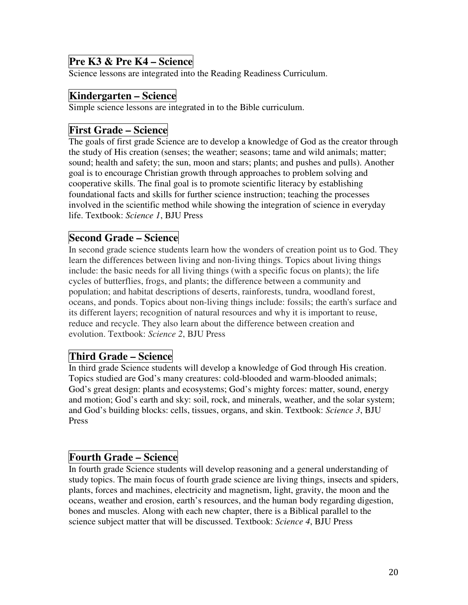## **Pre K3 & Pre K4 – Science**

Science lessons are integrated into the Reading Readiness Curriculum.

### **Kindergarten – Science**

Simple science lessons are integrated in to the Bible curriculum.

### **First Grade – Science**

The goals of first grade Science are to develop a knowledge of God as the creator through the study of His creation (senses; the weather; seasons; tame and wild animals; matter; sound; health and safety; the sun, moon and stars; plants; and pushes and pulls). Another goal is to encourage Christian growth through approaches to problem solving and cooperative skills. The final goal is to promote scientific literacy by establishing foundational facts and skills for further science instruction; teaching the processes involved in the scientific method while showing the integration of science in everyday life. Textbook: *Science 1*, BJU Press

### **Second Grade – Science**

In second grade science students learn how the wonders of creation point us to God. They learn the differences between living and non-living things. Topics about living things include: the basic needs for all living things (with a specific focus on plants); the life cycles of butterflies, frogs, and plants; the difference between a community and population; and habitat descriptions of deserts, rainforests, tundra, woodland forest, oceans, and ponds. Topics about non-living things include: fossils; the earth's surface and its different layers; recognition of natural resources and why it is important to reuse, reduce and recycle. They also learn about the difference between creation and evolution. Textbook: *Science 2*, BJU Press

### **Third Grade – Science**

In third grade Science students will develop a knowledge of God through His creation. Topics studied are God's many creatures: cold-blooded and warm-blooded animals; God's great design: plants and ecosystems; God's mighty forces: matter, sound, energy and motion; God's earth and sky: soil, rock, and minerals, weather, and the solar system; and God's building blocks: cells, tissues, organs, and skin. Textbook: *Science 3*, BJU Press

### **Fourth Grade – Science**

In fourth grade Science students will develop reasoning and a general understanding of study topics. The main focus of fourth grade science are living things, insects and spiders, plants, forces and machines, electricity and magnetism, light, gravity, the moon and the oceans, weather and erosion, earth's resources, and the human body regarding digestion, bones and muscles. Along with each new chapter, there is a Biblical parallel to the science subject matter that will be discussed. Textbook: *Science 4*, BJU Press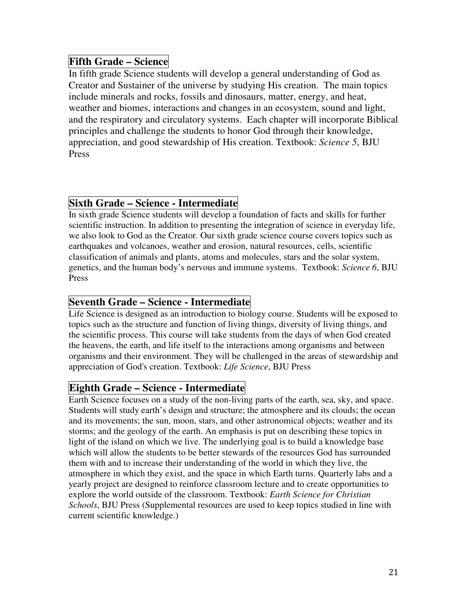## **Fifth Grade – Science**

In fifth grade Science students will develop a general understanding of God as Creator and Sustainer of the universe by studying His creation. The main topics include minerals and rocks, fossils and dinosaurs, matter, energy, and heat, weather and biomes, interactions and changes in an ecosystem, sound and light, and the respiratory and circulatory systems. Each chapter will incorporate Biblical principles and challenge the students to honor God through their knowledge, appreciation, and good stewardship of His creation. Textbook: *Science 5*, BJU Press

## **Sixth Grade – Science - Intermediate**

In sixth grade Science students will develop a foundation of facts and skills for further scientific instruction. In addition to presenting the integration of science in everyday life, we also look to God as the Creator. Our sixth grade science course covers topics such as earthquakes and volcanoes, weather and erosion, natural resources, cells, scientific classification of animals and plants, atoms and molecules, stars and the solar system, genetics, and the human body's nervous and immune systems. Textbook: *Science 6*, BJU Press

### **Seventh Grade – Science - Intermediate**

Life Science is designed as an introduction to biology course. Students will be exposed to topics such as the structure and function of living things, diversity of living things, and the scientific process. This course will take students from the days of when God created the heavens, the earth, and life itself to the interactions among organisms and between organisms and their environment. They will be challenged in the areas of stewardship and appreciation of God's creation. Textbook: *Life Science*, BJU Press

## **Eighth Grade – Science - Intermediate**

Earth Science focuses on a study of the non-living parts of the earth, sea, sky, and space. Students will study earth's design and structure; the atmosphere and its clouds; the ocean and its movements; the sun, moon, stars, and other astronomical objects; weather and its storms; and the geology of the earth. An emphasis is put on describing these topics in light of the island on which we live. The underlying goal is to build a knowledge base which will allow the students to be better stewards of the resources God has surrounded them with and to increase their understanding of the world in which they live, the atmosphere in which they exist, and the space in which Earth turns. Quarterly labs and a yearly project are designed to reinforce classroom lecture and to create opportunities to explore the world outside of the classroom. Textbook: *Earth Science for Christian Schools*, BJU Press (Supplemental resources are used to keep topics studied in line with current scientific knowledge.)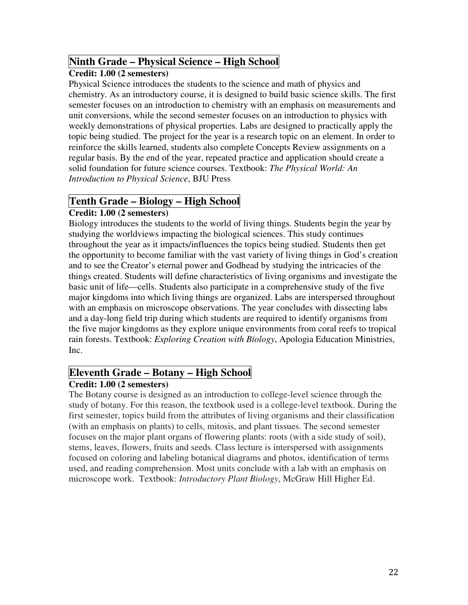### **Ninth Grade – Physical Science – High School**

#### **Credit: 1.00 (2 semesters)**

Physical Science introduces the students to the science and math of physics and chemistry. As an introductory course, it is designed to build basic science skills. The first semester focuses on an introduction to chemistry with an emphasis on measurements and unit conversions, while the second semester focuses on an introduction to physics with weekly demonstrations of physical properties. Labs are designed to practically apply the topic being studied. The project for the year is a research topic on an element. In order to reinforce the skills learned, students also complete Concepts Review assignments on a regular basis. By the end of the year, repeated practice and application should create a solid foundation for future science courses. Textbook: *The Physical World: An Introduction to Physical Science*, BJU Press

# **Tenth Grade – Biology – High School**

#### **Credit: 1.00 (2 semesters)**

Biology introduces the students to the world of living things. Students begin the year by studying the worldviews impacting the biological sciences. This study continues throughout the year as it impacts/influences the topics being studied. Students then get the opportunity to become familiar with the vast variety of living things in God's creation and to see the Creator's eternal power and Godhead by studying the intricacies of the things created. Students will define characteristics of living organisms and investigate the basic unit of life—cells. Students also participate in a comprehensive study of the five major kingdoms into which living things are organized. Labs are interspersed throughout with an emphasis on microscope observations. The year concludes with dissecting labs and a day-long field trip during which students are required to identify organisms from the five major kingdoms as they explore unique environments from coral reefs to tropical rain forests. Textbook: *Exploring Creation with Biology*, Apologia Education Ministries, Inc.

### **Eleventh Grade – Botany – High School**

#### **Credit: 1.00 (2 semesters)**

The Botany course is designed as an introduction to college-level science through the study of botany. For this reason, the textbook used is a college-level textbook. During the first semester, topics build from the attributes of living organisms and their classification (with an emphasis on plants) to cells, mitosis, and plant tissues. The second semester focuses on the major plant organs of flowering plants: roots (with a side study of soil), stems, leaves, flowers, fruits and seeds. Class lecture is interspersed with assignments focused on coloring and labeling botanical diagrams and photos, identification of terms used, and reading comprehension. Most units conclude with a lab with an emphasis on microscope work. Textbook: *Introductory Plant Biology*, McGraw Hill Higher Ed.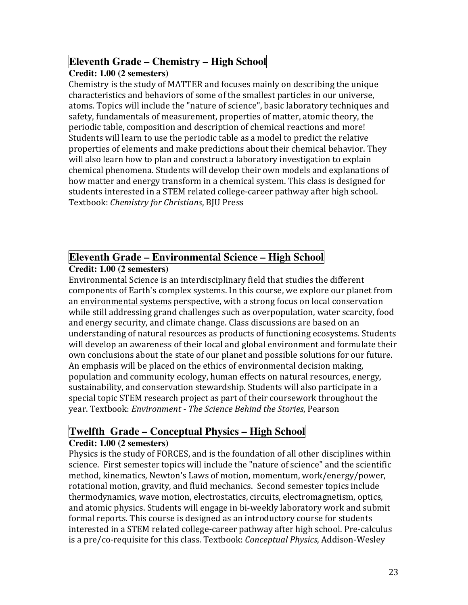## **Eleventh Grade – Chemistry – High School**

#### **Credit: 1.00 (2 semesters)**

Chemistry is the study of MATTER and focuses mainly on describing the unique characteristics and behaviors of some of the smallest particles in our universe, atoms. Topics will include the "nature of science", basic laboratory techniques and safety, fundamentals of measurement, properties of matter, atomic theory, the periodic table, composition and description of chemical reactions and more! Students will learn to use the periodic table as a model to predict the relative properties of elements and make predictions about their chemical behavior. They will also learn how to plan and construct a laboratory investigation to explain chemical phenomena. Students will develop their own models and explanations of how matter and energy transform in a chemical system. This class is designed for students interested in a STEM related college-career pathway after high school. Textbook: Chemistry for Christians, BJU Press

# **Eleventh Grade – Environmental Science – High School**

### **Credit: 1.00 (2 semesters)**

Environmental Science is an interdisciplinary field that studies the different components of Earth's complex systems. In this course, we explore our planet from an environmental systems perspective, with a strong focus on local conservation while still addressing grand challenges such as overpopulation, water scarcity, food and energy security, and climate change. Class discussions are based on an understanding of natural resources as products of functioning ecosystems. Students will develop an awareness of their local and global environment and formulate their own conclusions about the state of our planet and possible solutions for our future. An emphasis will be placed on the ethics of environmental decision making, population and community ecology, human effects on natural resources, energy, sustainability, and conservation stewardship. Students will also participate in a special topic STEM research project as part of their coursework throughout the year. Textbook: Environment - The Science Behind the Stories, Pearson

# **Twelfth Grade – Conceptual Physics – High School**

#### **Credit: 1.00 (2 semesters)**

Physics is the study of FORCES, and is the foundation of all other disciplines within science. First semester topics will include the "nature of science" and the scientific method, kinematics, Newton's Laws of motion, momentum, work/energy/power, rotational motion, gravity, and fluid mechanics. Second semester topics include thermodynamics, wave motion, electrostatics, circuits, electromagnetism, optics, and atomic physics. Students will engage in bi-weekly laboratory work and submit formal reports. This course is designed as an introductory course for students interested in a STEM related college-career pathway after high school. Pre-calculus is a pre/co-requisite for this class. Textbook: Conceptual Physics, Addison-Wesley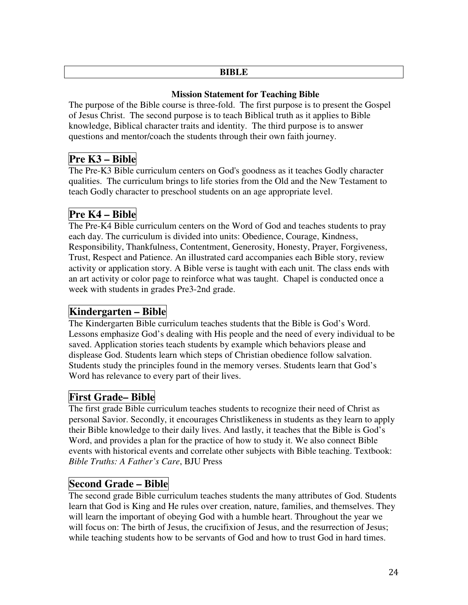#### **BIBLE**

#### **Mission Statement for Teaching Bible**

The purpose of the Bible course is three-fold. The first purpose is to present the Gospel of Jesus Christ. The second purpose is to teach Biblical truth as it applies to Bible knowledge, Biblical character traits and identity. The third purpose is to answer questions and mentor/coach the students through their own faith journey.

# **Pre K3 – Bible**

The Pre-K3 Bible curriculum centers on God's goodness as it teaches Godly character qualities. The curriculum brings to life stories from the Old and the New Testament to teach Godly character to preschool students on an age appropriate level.

# **Pre K4 – Bible**

The Pre-K4 Bible curriculum centers on the Word of God and teaches students to pray each day. The curriculum is divided into units: Obedience, Courage, Kindness, Responsibility, Thankfulness, Contentment, Generosity, Honesty, Prayer, Forgiveness, Trust, Respect and Patience. An illustrated card accompanies each Bible story, review activity or application story. A Bible verse is taught with each unit. The class ends with an art activity or color page to reinforce what was taught. Chapel is conducted once a week with students in grades Pre3-2nd grade.

# **Kindergarten – Bible**

The Kindergarten Bible curriculum teaches students that the Bible is God's Word. Lessons emphasize God's dealing with His people and the need of every individual to be saved. Application stories teach students by example which behaviors please and displease God. Students learn which steps of Christian obedience follow salvation. Students study the principles found in the memory verses. Students learn that God's Word has relevance to every part of their lives.

## **First Grade– Bible**

The first grade Bible curriculum teaches students to recognize their need of Christ as personal Savior. Secondly, it encourages Christlikeness in students as they learn to apply their Bible knowledge to their daily lives. And lastly, it teaches that the Bible is God's Word, and provides a plan for the practice of how to study it. We also connect Bible events with historical events and correlate other subjects with Bible teaching. Textbook: *Bible Truths: A Father's Care*, BJU Press

## **Second Grade – Bible**

The second grade Bible curriculum teaches students the many attributes of God. Students learn that God is King and He rules over creation, nature, families, and themselves. They will learn the important of obeying God with a humble heart. Throughout the year we will focus on: The birth of Jesus, the crucifixion of Jesus, and the resurrection of Jesus; while teaching students how to be servants of God and how to trust God in hard times.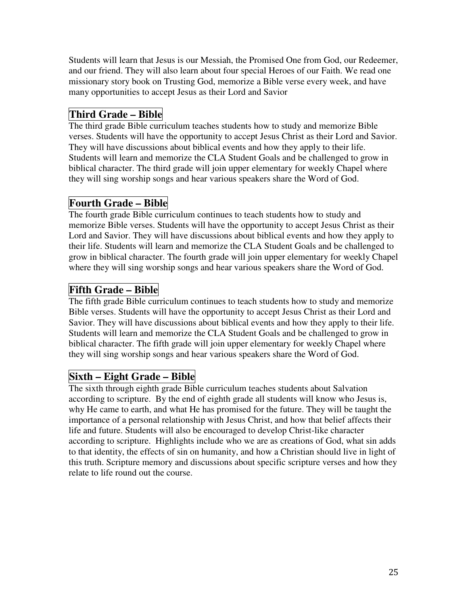Students will learn that Jesus is our Messiah, the Promised One from God, our Redeemer, and our friend. They will also learn about four special Heroes of our Faith. We read one missionary story book on Trusting God, memorize a Bible verse every week, and have many opportunities to accept Jesus as their Lord and Savior

## **Third Grade – Bible**

The third grade Bible curriculum teaches students how to study and memorize Bible verses. Students will have the opportunity to accept Jesus Christ as their Lord and Savior. They will have discussions about biblical events and how they apply to their life. Students will learn and memorize the CLA Student Goals and be challenged to grow in biblical character. The third grade will join upper elementary for weekly Chapel where they will sing worship songs and hear various speakers share the Word of God.

## **Fourth Grade – Bible**

The fourth grade Bible curriculum continues to teach students how to study and memorize Bible verses. Students will have the opportunity to accept Jesus Christ as their Lord and Savior. They will have discussions about biblical events and how they apply to their life. Students will learn and memorize the CLA Student Goals and be challenged to grow in biblical character. The fourth grade will join upper elementary for weekly Chapel where they will sing worship songs and hear various speakers share the Word of God.

## **Fifth Grade – Bible**

The fifth grade Bible curriculum continues to teach students how to study and memorize Bible verses. Students will have the opportunity to accept Jesus Christ as their Lord and Savior. They will have discussions about biblical events and how they apply to their life. Students will learn and memorize the CLA Student Goals and be challenged to grow in biblical character. The fifth grade will join upper elementary for weekly Chapel where they will sing worship songs and hear various speakers share the Word of God.

## **Sixth – Eight Grade – Bible**

The sixth through eighth grade Bible curriculum teaches students about Salvation according to scripture. By the end of eighth grade all students will know who Jesus is, why He came to earth, and what He has promised for the future. They will be taught the importance of a personal relationship with Jesus Christ, and how that belief affects their life and future. Students will also be encouraged to develop Christ-like character according to scripture. Highlights include who we are as creations of God, what sin adds to that identity, the effects of sin on humanity, and how a Christian should live in light of this truth. Scripture memory and discussions about specific scripture verses and how they relate to life round out the course.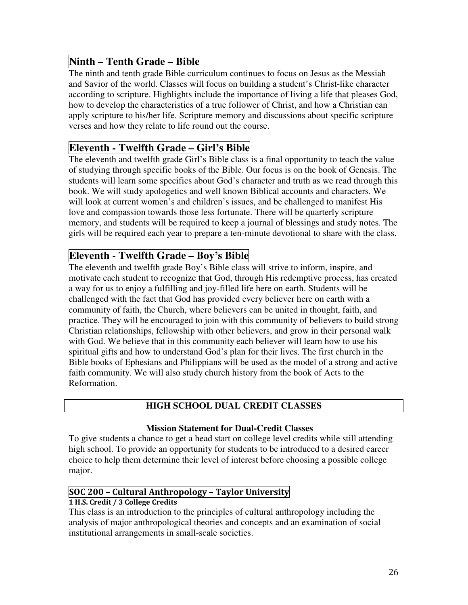## **Ninth – Tenth Grade – Bible**

The ninth and tenth grade Bible curriculum continues to focus on Jesus as the Messiah and Savior of the world. Classes will focus on building a student's Christ-like character according to scripture. Highlights include the importance of living a life that pleases God, how to develop the characteristics of a true follower of Christ, and how a Christian can apply scripture to his/her life. Scripture memory and discussions about specific scripture verses and how they relate to life round out the course.

### **Eleventh - Twelfth Grade – Girl's Bible**

The eleventh and twelfth grade Girl's Bible class is a final opportunity to teach the value of studying through specific books of the Bible. Our focus is on the book of Genesis. The students will learn some specifics about God's character and truth as we read through this book. We will study apologetics and well known Biblical accounts and characters. We will look at current women's and children's issues, and be challenged to manifest His love and compassion towards those less fortunate. There will be quarterly scripture memory, and students will be required to keep a journal of blessings and study notes. The girls will be required each year to prepare a ten-minute devotional to share with the class.

### **Eleventh - Twelfth Grade – Boy's Bible**

The eleventh and twelfth grade Boy's Bible class will strive to inform, inspire, and motivate each student to recognize that God, through His redemptive process, has created a way for us to enjoy a fulfilling and joy-filled life here on earth. Students will be challenged with the fact that God has provided every believer here on earth with a community of faith, the Church, where believers can be united in thought, faith, and practice. They will be encouraged to join with this community of believers to build strong Christian relationships, fellowship with other believers, and grow in their personal walk with God. We believe that in this community each believer will learn how to use his spiritual gifts and how to understand God's plan for their lives. The first church in the Bible books of Ephesians and Philippians will be used as the model of a strong and active faith community. We will also study church history from the book of Acts to the Reformation.

#### **HIGH SCHOOL DUAL CREDIT CLASSES**

#### **Mission Statement for Dual-Credit Classes**

To give students a chance to get a head start on college level credits while still attending high school. To provide an opportunity for students to be introduced to a desired career choice to help them determine their level of interest before choosing a possible college major.

#### SOC 200 – Cultural Anthropology – Taylor University

#### 1 H.S. Credit / 3 College Credits

This class is an introduction to the principles of cultural anthropology including the analysis of major anthropological theories and concepts and an examination of social institutional arrangements in small-scale societies.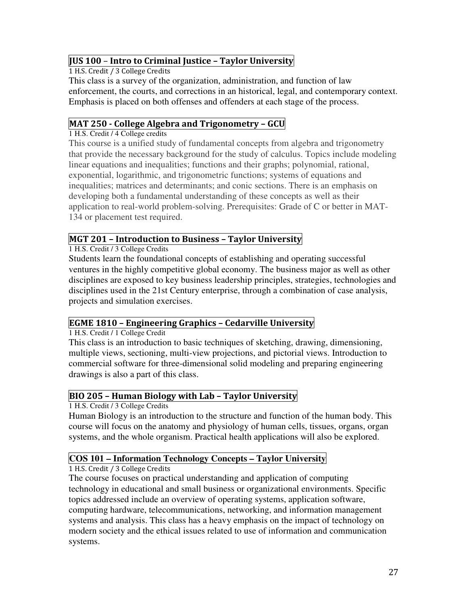#### JUS 100 – Intro to Criminal Justice – Taylor University

1 H.S. Credit / 3 College Credits

This class is a survey of the organization, administration, and function of law enforcement, the courts, and corrections in an historical, legal, and contemporary context. Emphasis is placed on both offenses and offenders at each stage of the process.

### MAT 250 - College Algebra and Trigonometry – GCU

1 H.S. Credit / 4 College credits

This course is a unified study of fundamental concepts from algebra and trigonometry that provide the necessary background for the study of calculus. Topics include modeling linear equations and inequalities; functions and their graphs; polynomial, rational, exponential, logarithmic, and trigonometric functions; systems of equations and inequalities; matrices and determinants; and conic sections. There is an emphasis on developing both a fundamental understanding of these concepts as well as their application to real-world problem-solving. Prerequisites: Grade of C or better in MAT-134 or placement test required.

#### MGT 201 – Introduction to Business – Taylor University

1 H.S. Credit / 3 College Credits

Students learn the foundational concepts of establishing and operating successful ventures in the highly competitive global economy. The business major as well as other disciplines are exposed to key business leadership principles, strategies, technologies and disciplines used in the 21st Century enterprise, through a combination of case analysis, projects and simulation exercises.

#### EGME 1810 – Engineering Graphics – Cedarville University

1 H.S. Credit / 1 College Credit

This class is an introduction to basic techniques of sketching, drawing, dimensioning, multiple views, sectioning, multi-view projections, and pictorial views. Introduction to commercial software for three-dimensional solid modeling and preparing engineering drawings is also a part of this class.

### BIO 205 – Human Biology with Lab – Taylor University

1 H.S. Credit / 3 College Credits

Human Biology is an introduction to the structure and function of the human body. This course will focus on the anatomy and physiology of human cells, tissues, organs, organ systems, and the whole organism. Practical health applications will also be explored.

#### **COS 101 – Information Technology Concepts – Taylor University**

1 H.S. Credit / 3 College Credits

The course focuses on practical understanding and application of computing technology in educational and small business or organizational environments. Specific topics addressed include an overview of operating systems, application software, computing hardware, telecommunications, networking, and information management systems and analysis. This class has a heavy emphasis on the impact of technology on modern society and the ethical issues related to use of information and communication systems.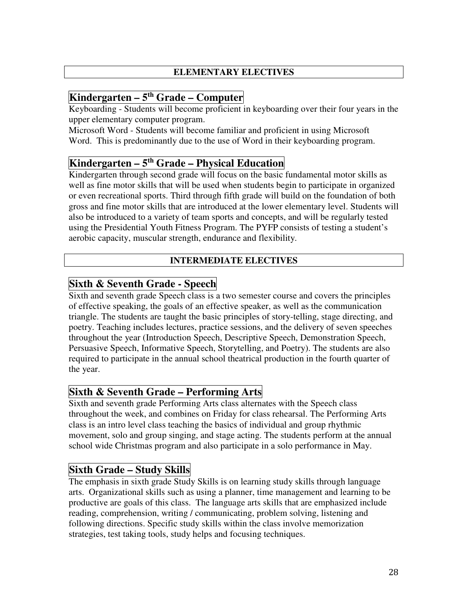#### **ELEMENTARY ELECTIVES**

# **Kindergarten – 5th Grade – Computer**

Keyboarding - Students will become proficient in keyboarding over their four years in the upper elementary computer program.

Microsoft Word - Students will become familiar and proficient in using Microsoft Word. This is predominantly due to the use of Word in their keyboarding program.

### **Kindergarten – 5th Grade – Physical Education**

Kindergarten through second grade will focus on the basic fundamental motor skills as well as fine motor skills that will be used when students begin to participate in organized or even recreational sports. Third through fifth grade will build on the foundation of both gross and fine motor skills that are introduced at the lower elementary level. Students will also be introduced to a variety of team sports and concepts, and will be regularly tested using the Presidential Youth Fitness Program. The PYFP consists of testing a student's aerobic capacity, muscular strength, endurance and flexibility.

#### **INTERMEDIATE ELECTIVES**

### **Sixth & Seventh Grade - Speech**

Sixth and seventh grade Speech class is a two semester course and covers the principles of effective speaking, the goals of an effective speaker, as well as the communication triangle. The students are taught the basic principles of story-telling, stage directing, and poetry. Teaching includes lectures, practice sessions, and the delivery of seven speeches throughout the year (Introduction Speech, Descriptive Speech, Demonstration Speech, Persuasive Speech, Informative Speech, Storytelling, and Poetry). The students are also required to participate in the annual school theatrical production in the fourth quarter of the year.

## **Sixth & Seventh Grade – Performing Arts**

Sixth and seventh grade Performing Arts class alternates with the Speech class throughout the week, and combines on Friday for class rehearsal. The Performing Arts class is an intro level class teaching the basics of individual and group rhythmic movement, solo and group singing, and stage acting. The students perform at the annual school wide Christmas program and also participate in a solo performance in May.

## **Sixth Grade – Study Skills**

The emphasis in sixth grade Study Skills is on learning study skills through language arts. Organizational skills such as using a planner, time management and learning to be productive are goals of this class. The language arts skills that are emphasized include reading, comprehension, writing / communicating, problem solving, listening and following directions. Specific study skills within the class involve memorization strategies, test taking tools, study helps and focusing techniques.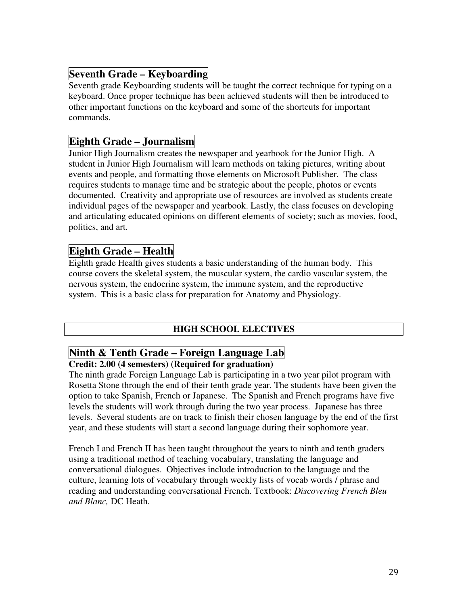## **Seventh Grade – Keyboarding**

Seventh grade Keyboarding students will be taught the correct technique for typing on a keyboard. Once proper technique has been achieved students will then be introduced to other important functions on the keyboard and some of the shortcuts for important commands.

### **Eighth Grade – Journalism**

Junior High Journalism creates the newspaper and yearbook for the Junior High. A student in Junior High Journalism will learn methods on taking pictures, writing about events and people, and formatting those elements on Microsoft Publisher. The class requires students to manage time and be strategic about the people, photos or events documented. Creativity and appropriate use of resources are involved as students create individual pages of the newspaper and yearbook. Lastly, the class focuses on developing and articulating educated opinions on different elements of society; such as movies, food, politics, and art.

### **Eighth Grade – Health**

Eighth grade Health gives students a basic understanding of the human body. This course covers the skeletal system, the muscular system, the cardio vascular system, the nervous system, the endocrine system, the immune system, and the reproductive system. This is a basic class for preparation for Anatomy and Physiology.

#### **HIGH SCHOOL ELECTIVES**

# **Ninth & Tenth Grade – Foreign Language Lab**

#### **Credit: 2.00 (4 semesters) (Required for graduation)**

The ninth grade Foreign Language Lab is participating in a two year pilot program with Rosetta Stone through the end of their tenth grade year. The students have been given the option to take Spanish, French or Japanese. The Spanish and French programs have five levels the students will work through during the two year process. Japanese has three levels. Several students are on track to finish their chosen language by the end of the first year, and these students will start a second language during their sophomore year.

French I and French II has been taught throughout the years to ninth and tenth graders using a traditional method of teaching vocabulary, translating the language and conversational dialogues. Objectives include introduction to the language and the culture, learning lots of vocabulary through weekly lists of vocab words / phrase and reading and understanding conversational French. Textbook: *Discovering French Bleu and Blanc,* DC Heath.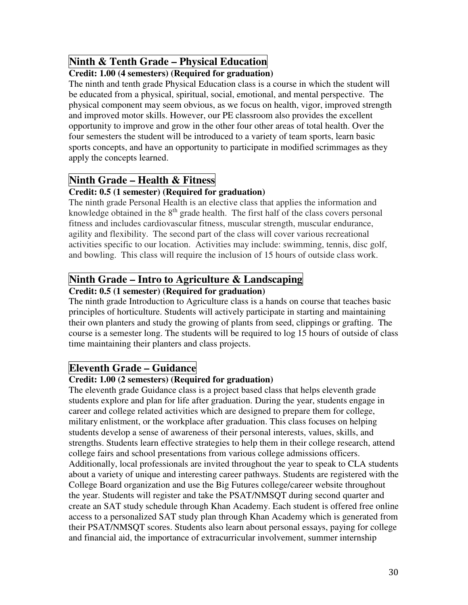# **Ninth & Tenth Grade – Physical Education**

#### **Credit: 1.00 (4 semesters) (Required for graduation)**

The ninth and tenth grade Physical Education class is a course in which the student will be educated from a physical, spiritual, social, emotional, and mental perspective. The physical component may seem obvious, as we focus on health, vigor, improved strength and improved motor skills. However, our PE classroom also provides the excellent opportunity to improve and grow in the other four other areas of total health. Over the four semesters the student will be introduced to a variety of team sports, learn basic sports concepts, and have an opportunity to participate in modified scrimmages as they apply the concepts learned.

## **Ninth Grade – Health & Fitness**

#### **Credit: 0.5 (1 semester) (Required for graduation)**

The ninth grade Personal Health is an elective class that applies the information and knowledge obtained in the  $8<sup>th</sup>$  grade health. The first half of the class covers personal fitness and includes cardiovascular fitness, muscular strength, muscular endurance, agility and flexibility. The second part of the class will cover various recreational activities specific to our location. Activities may include: swimming, tennis, disc golf, and bowling. This class will require the inclusion of 15 hours of outside class work.

# **Ninth Grade – Intro to Agriculture & Landscaping**

#### **Credit: 0.5 (1 semester) (Required for graduation)**

The ninth grade Introduction to Agriculture class is a hands on course that teaches basic principles of horticulture. Students will actively participate in starting and maintaining their own planters and study the growing of plants from seed, clippings or grafting. The course is a semester long. The students will be required to log 15 hours of outside of class time maintaining their planters and class projects.

### **Eleventh Grade – Guidance**

#### **Credit: 1.00 (2 semesters) (Required for graduation)**

The eleventh grade Guidance class is a project based class that helps eleventh grade students explore and plan for life after graduation. During the year, students engage in career and college related activities which are designed to prepare them for college, military enlistment, or the workplace after graduation. This class focuses on helping students develop a sense of awareness of their personal interests, values, skills, and strengths. Students learn effective strategies to help them in their college research, attend college fairs and school presentations from various college admissions officers. Additionally, local professionals are invited throughout the year to speak to CLA students about a variety of unique and interesting career pathways. Students are registered with the College Board organization and use the Big Futures college/career website throughout the year. Students will register and take the PSAT/NMSQT during second quarter and create an SAT study schedule through Khan Academy. Each student is offered free online access to a personalized SAT study plan through Khan Academy which is generated from their PSAT/NMSQT scores. Students also learn about personal essays, paying for college and financial aid, the importance of extracurricular involvement, summer internship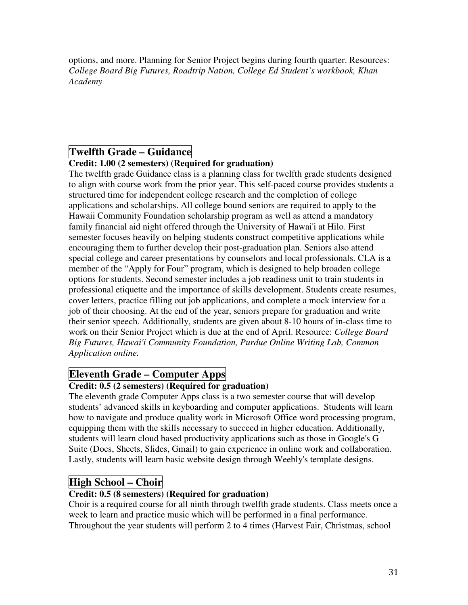options, and more. Planning for Senior Project begins during fourth quarter. Resources: *College Board Big Futures, Roadtrip Nation, College Ed Student's workbook, Khan Academy*

### **Twelfth Grade – Guidance**

#### **Credit: 1.00 (2 semesters) (Required for graduation)**

The twelfth grade Guidance class is a planning class for twelfth grade students designed to align with course work from the prior year. This self-paced course provides students a structured time for independent college research and the completion of college applications and scholarships. All college bound seniors are required to apply to the Hawaii Community Foundation scholarship program as well as attend a mandatory family financial aid night offered through the University of Hawai'i at Hilo. First semester focuses heavily on helping students construct competitive applications while encouraging them to further develop their post-graduation plan. Seniors also attend special college and career presentations by counselors and local professionals. CLA is a member of the "Apply for Four" program, which is designed to help broaden college options for students. Second semester includes a job readiness unit to train students in professional etiquette and the importance of skills development. Students create resumes, cover letters, practice filling out job applications, and complete a mock interview for a job of their choosing. At the end of the year, seniors prepare for graduation and write their senior speech. Additionally, students are given about 8-10 hours of in-class time to work on their Senior Project which is due at the end of April. Resource: *College Board Big Futures, Hawai'i Community Foundation, Purdue Online Writing Lab, Common Application online.* 

## **Eleventh Grade – Computer Apps**

#### **Credit: 0.5 (2 semesters) (Required for graduation)**

The eleventh grade Computer Apps class is a two semester course that will develop students' advanced skills in keyboarding and computer applications. Students will learn how to navigate and produce quality work in Microsoft Office word processing program, equipping them with the skills necessary to succeed in higher education. Additionally, students will learn cloud based productivity applications such as those in Google's G Suite (Docs, Sheets, Slides, Gmail) to gain experience in online work and collaboration. Lastly, students will learn basic website design through Weebly's template designs.

## **High School – Choir**

#### **Credit: 0.5 (8 semesters) (Required for graduation)**

Choir is a required course for all ninth through twelfth grade students. Class meets once a week to learn and practice music which will be performed in a final performance. Throughout the year students will perform 2 to 4 times (Harvest Fair, Christmas, school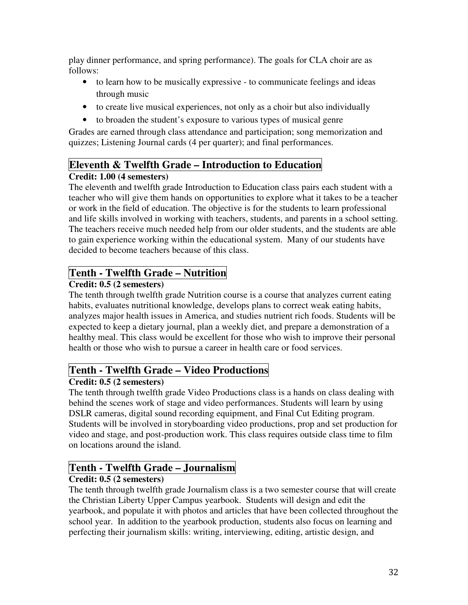play dinner performance, and spring performance). The goals for CLA choir are as follows:

- to learn how to be musically expressive to communicate feelings and ideas through music
- to create live musical experiences, not only as a choir but also individually
- to broaden the student's exposure to various types of musical genre

Grades are earned through class attendance and participation; song memorization and quizzes; Listening Journal cards (4 per quarter); and final performances.

# **Eleventh & Twelfth Grade – Introduction to Education**

### **Credit: 1.00 (4 semesters)**

The eleventh and twelfth grade Introduction to Education class pairs each student with a teacher who will give them hands on opportunities to explore what it takes to be a teacher or work in the field of education. The objective is for the students to learn professional and life skills involved in working with teachers, students, and parents in a school setting. The teachers receive much needed help from our older students, and the students are able to gain experience working within the educational system. Many of our students have decided to become teachers because of this class.

# **Tenth - Twelfth Grade – Nutrition**

### **Credit: 0.5 (2 semesters)**

The tenth through twelfth grade Nutrition course is a course that analyzes current eating habits, evaluates nutritional knowledge, develops plans to correct weak eating habits, analyzes major health issues in America, and studies nutrient rich foods. Students will be expected to keep a dietary journal, plan a weekly diet, and prepare a demonstration of a healthy meal. This class would be excellent for those who wish to improve their personal health or those who wish to pursue a career in health care or food services.

## **Tenth - Twelfth Grade – Video Productions**

### **Credit: 0.5 (2 semesters)**

The tenth through twelfth grade Video Productions class is a hands on class dealing with behind the scenes work of stage and video performances. Students will learn by using DSLR cameras, digital sound recording equipment, and Final Cut Editing program. Students will be involved in storyboarding video productions, prop and set production for video and stage, and post-production work. This class requires outside class time to film on locations around the island.

# **Tenth - Twelfth Grade – Journalism**

### **Credit: 0.5 (2 semesters)**

The tenth through twelfth grade Journalism class is a two semester course that will create the Christian Liberty Upper Campus yearbook. Students will design and edit the yearbook, and populate it with photos and articles that have been collected throughout the school year. In addition to the yearbook production, students also focus on learning and perfecting their journalism skills: writing, interviewing, editing, artistic design, and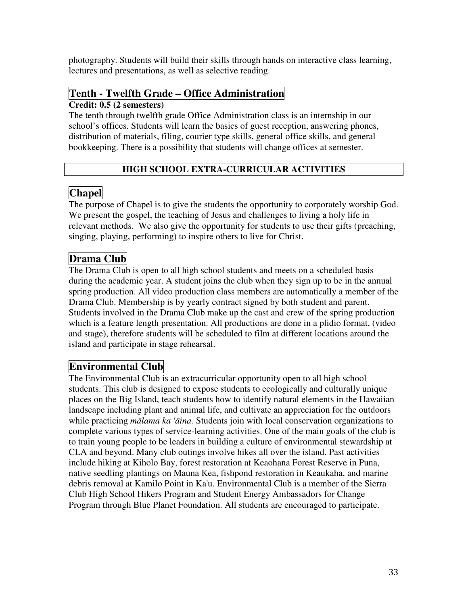photography. Students will build their skills through hands on interactive class learning, lectures and presentations, as well as selective reading.

# **Tenth - Twelfth Grade – Office Administration**

#### **Credit: 0.5 (2 semesters)**

The tenth through twelfth grade Office Administration class is an internship in our school's offices. Students will learn the basics of guest reception, answering phones, distribution of materials, filing, courier type skills, general office skills, and general bookkeeping. There is a possibility that students will change offices at semester.

### **HIGH SCHOOL EXTRA-CURRICULAR ACTIVITIES**

# **Chapel**

The purpose of Chapel is to give the students the opportunity to corporately worship God. We present the gospel, the teaching of Jesus and challenges to living a holy life in relevant methods. We also give the opportunity for students to use their gifts (preaching, singing, playing, performing) to inspire others to live for Christ.

# Drama Club

The Drama Club is open to all high school students and meets on a scheduled basis during the academic year. A student joins the club when they sign up to be in the annual spring production. All video production class members are automatically a member of the Drama Club. Membership is by yearly contract signed by both student and parent. Students involved in the Drama Club make up the cast and crew of the spring production which is a feature length presentation. All productions are done in a plidio format, (video and stage), therefore students will be scheduled to film at different locations around the island and participate in stage rehearsal.

## **Environmental Club**

The Environmental Club is an extracurricular opportunity open to all high school students. This club is designed to expose students to ecologically and culturally unique places on the Big Island, teach students how to identify natural elements in the Hawaiian landscape including plant and animal life, and cultivate an appreciation for the outdoors while practicing *m*ā*lama ka '*ā*ina.* Students join with local conservation organizations to complete various types of service-learning activities. One of the main goals of the club is to train young people to be leaders in building a culture of environmental stewardship at CLA and beyond. Many club outings involve hikes all over the island. Past activities include hiking at Kiholo Bay, forest restoration at Keaohana Forest Reserve in Puna, native seedling plantings on Mauna Kea, fishpond restoration in Keaukaha, and marine debris removal at Kamilo Point in Ka'u. Environmental Club is a member of the Sierra Club High School Hikers Program and Student Energy Ambassadors for Change Program through Blue Planet Foundation. All students are encouraged to participate.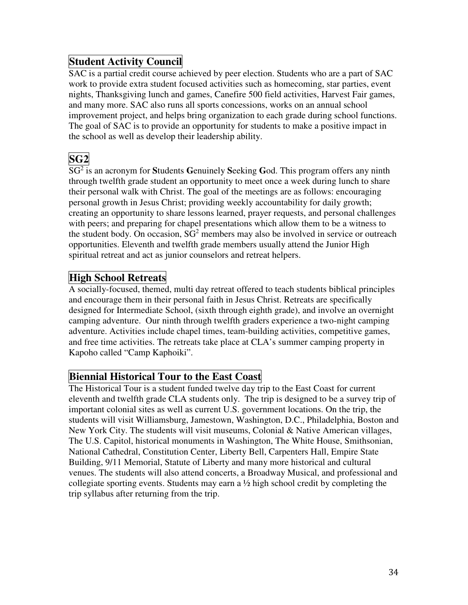## **Student Activity Council**

SAC is a partial credit course achieved by peer election. Students who are a part of SAC work to provide extra student focused activities such as homecoming, star parties, event nights, Thanksgiving lunch and games, Canefire 500 field activities, Harvest Fair games, and many more. SAC also runs all sports concessions, works on an annual school improvement project, and helps bring organization to each grade during school functions. The goal of SAC is to provide an opportunity for students to make a positive impact in the school as well as develop their leadership ability.

# **SG2**

SG<sup>2</sup> is an acronym for **S**tudents **G**enuinely **S**eeking **G**od. This program offers any ninth through twelfth grade student an opportunity to meet once a week during lunch to share their personal walk with Christ. The goal of the meetings are as follows: encouraging personal growth in Jesus Christ; providing weekly accountability for daily growth; creating an opportunity to share lessons learned, prayer requests, and personal challenges with peers; and preparing for chapel presentations which allow them to be a witness to the student body. On occasion,  $SG<sup>2</sup>$  members may also be involved in service or outreach opportunities. Eleventh and twelfth grade members usually attend the Junior High spiritual retreat and act as junior counselors and retreat helpers.

## **High School Retreats**

A socially-focused, themed, multi day retreat offered to teach students biblical principles and encourage them in their personal faith in Jesus Christ. Retreats are specifically designed for Intermediate School, (sixth through eighth grade), and involve an overnight camping adventure. Our ninth through twelfth graders experience a two-night camping adventure. Activities include chapel times, team-building activities, competitive games, and free time activities. The retreats take place at CLA's summer camping property in Kapoho called "Camp Kaphoiki".

### **Biennial Historical Tour to the East Coast**

The Historical Tour is a student funded twelve day trip to the East Coast for current eleventh and twelfth grade CLA students only. The trip is designed to be a survey trip of important colonial sites as well as current U.S. government locations. On the trip, the students will visit Williamsburg, Jamestown, Washington, D.C., Philadelphia, Boston and New York City. The students will visit museums, Colonial & Native American villages, The U.S. Capitol, historical monuments in Washington, The White House, Smithsonian, National Cathedral, Constitution Center, Liberty Bell, Carpenters Hall, Empire State Building, 9/11 Memorial, Statute of Liberty and many more historical and cultural venues. The students will also attend concerts, a Broadway Musical, and professional and collegiate sporting events. Students may earn a  $\frac{1}{2}$  high school credit by completing the trip syllabus after returning from the trip.